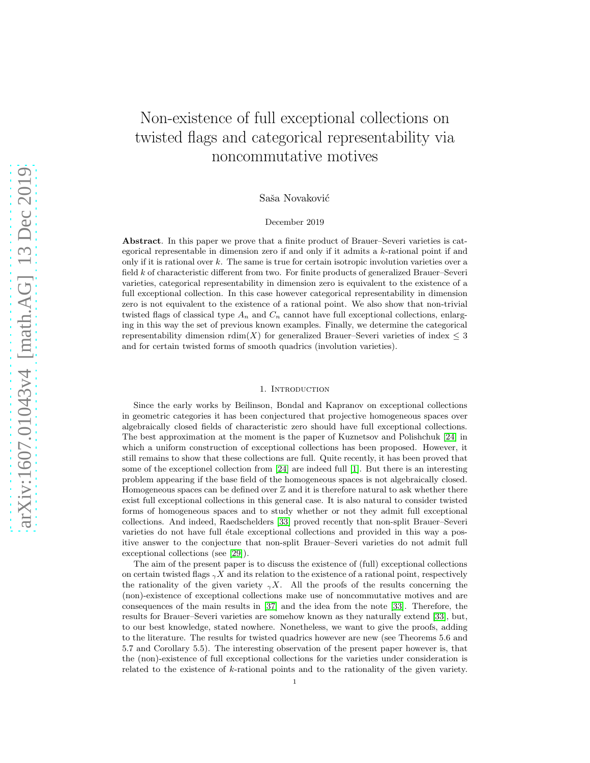# Non-existence of full exceptional collections on twisted flags and categorical representability via noncommutative motives

Saša Novaković

## December 2019

Abstract. In this paper we prove that a finite product of Brauer–Severi varieties is categorical representable in dimension zero if and only if it admits a k-rational point if and only if it is rational over  $k$ . The same is true for certain isotropic involution varieties over a field k of characteristic different from two. For finite products of generalized Brauer–Severi varieties, categorical representability in dimension zero is equivalent to the existence of a full exceptional collection. In this case however categorical representability in dimension zero is not equivalent to the existence of a rational point. We also show that non-trivial twisted flags of classical type  $A_n$  and  $C_n$  cannot have full exceptional collections, enlarging in this way the set of previous known examples. Finally, we determine the categorical representability dimension  $\text{rdim}(X)$  for generalized Brauer–Severi varieties of index  $\leq 3$ and for certain twisted forms of smooth quadrics (involution varieties).

## 1. INTRODUCTION

Since the early works by Beilinson, Bondal and Kapranov on exceptional collections in geometric categories it has been conjectured that projective homogeneous spaces over algebraically closed fields of characteristic zero should have full exceptional collections. The best approximation at the moment is the paper of Kuznetsov and Polishchuk [\[24\]](#page-19-0) in which a uniform construction of exceptional collections has been proposed. However, it still remains to show that these collections are full. Quite recently, it has been proved that some of the exceptionel collection from [\[24\]](#page-19-0) are indeed full [\[1\]](#page-18-0). But there is an interesting problem appearing if the base field of the homogeneous spaces is not algebraically closed. Homogeneous spaces can be defined over  $\mathbb Z$  and it is therefore natural to ask whether there exist full exceptional collections in this general case. It is also natural to consider twisted forms of homogeneous spaces and to study whether or not they admit full exceptional collections. And indeed, Raedschelders [\[33\]](#page-19-1) proved recently that non-split Brauer–Severi varieties do not have full étale exceptional collections and provided in this way a positive answer to the conjecture that non-split Brauer–Severi varieties do not admit full exceptional collections (see [\[29\]](#page-19-2)).

The aim of the present paper is to discuss the existence of (full) exceptional collections on certain twisted flags  $\gamma X$  and its relation to the existence of a rational point, respectively the rationality of the given variety  $\gamma X$ . All the proofs of the results concerning the (non)-existence of exceptional collections make use of noncommutative motives and are consequences of the main results in [\[37\]](#page-19-3) and the idea from the note [\[33\]](#page-19-1). Therefore, the results for Brauer–Severi varieties are somehow known as they naturally extend [\[33\]](#page-19-1), but, to our best knowledge, stated nowhere. Nonetheless, we want to give the proofs, adding to the literature. The results for twisted quadrics however are new (see Theorems 5.6 and 5.7 and Corollary 5.5). The interesting observation of the present paper however is, that the (non)-existence of full exceptional collections for the varieties under consideration is related to the existence of k-rational points and to the rationality of the given variety.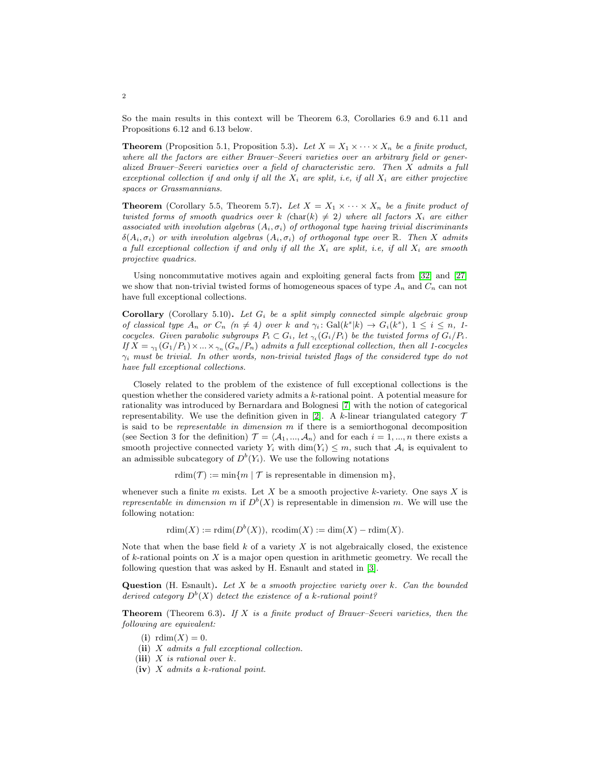So the main results in this context will be Theorem 6.3, Corollaries 6.9 and 6.11 and Propositions 6.12 and 6.13 below.

**Theorem** (Proposition 5.1, Proposition 5.3). Let  $X = X_1 \times \cdots \times X_n$  be a finite product, where all the factors are either Brauer–Severi varieties over an arbitrary field or generalized Brauer–Severi varieties over a field of characteristic zero. Then X admits a full exceptional collection if and only if all the  $X_i$  are split, i.e, if all  $X_i$  are either projective spaces or Grassmannians.

**Theorem** (Corollary 5.5, Theorem 5.7). Let  $X = X_1 \times \cdots \times X_n$  be a finite product of twisted forms of smooth quadrics over k (char(k)  $\neq$  2) where all factors  $X_i$  are either associated with involution algebras  $(A_i, \sigma_i)$  of orthogonal type having trivial discriminants  $\delta(A_i, \sigma_i)$  or with involution algebras  $(A_i, \sigma_i)$  of orthogonal type over R. Then X admits a full exceptional collection if and only if all the  $X_i$  are split, i.e, if all  $X_i$  are smooth projective quadrics.

Using noncommutative motives again and exploiting general facts from [\[32\]](#page-19-4) and [\[27\]](#page-19-5) we show that non-trivial twisted forms of homogeneous spaces of type  $A_n$  and  $C_n$  can not have full exceptional collections.

**Corollary** (Corollary 5.10). Let  $G_i$  be a split simply connected simple algebraic group of classical type  $A_n$  or  $C_n$   $(n \neq 4)$  over k and  $\gamma_i : \text{Gal}(k^s | k) \to G_i(k^s), 1 \leq i \leq n, 1$ cocycles. Given parabolic subgroups  $P_i \subset G_i$ , let  $\gamma_i(G_i/P_i)$  be the twisted forms of  $G_i/P_i$ . If  $X = \gamma_1(G_1/P_1) \times ... \times \gamma_n(G_n/P_n)$  admits a full exceptional collection, then all 1-cocycles  $\gamma_i$  must be trivial. In other words, non-trivial twisted flags of the considered type do not have full exceptional collections.

Closely related to the problem of the existence of full exceptional collections is the question whether the considered variety admits a k-rational point. A potential measure for rationality was introduced by Bernardara and Bolognesi [\[7\]](#page-18-1) with the notion of categorical representability. We use the definition given in [\[2\]](#page-18-2). A k-linear triangulated category  $\mathcal T$ is said to be *representable in dimension*  $m$  if there is a semiorthogonal decomposition (see Section 3 for the definition)  $\mathcal{T} = \langle A_1, ..., A_n \rangle$  and for each  $i = 1, ..., n$  there exists a smooth projective connected variety  $Y_i$  with  $\dim(Y_i) \leq m$ , such that  $\mathcal{A}_i$  is equivalent to an admissible subcategory of  $D^b(Y_i)$ . We use the following notations

rdim(T) := min{m | T is representable in dimension m},

whenever such a finite  $m$  exists. Let  $X$  be a smooth projective k-variety. One says  $X$  is representable in dimension m if  $D^b(X)$  is representable in dimension m. We will use the following notation:

 $rdim(X) := rdim(D^b(X)),$   $rcodim(X) := dim(X) - rdim(X).$ 

Note that when the base field  $k$  of a variety  $X$  is not algebraically closed, the existence of  $k$ -rational points on  $X$  is a major open question in arithmetic geometry. We recall the following question that was asked by H. Esnault and stated in [\[3\]](#page-18-3).

Question (H. Esnault). Let  $X$  be a smooth projective variety over k. Can the bounded derived category  $D^{b}(X)$  detect the existence of a k-rational point?

**Theorem** (Theorem 6.3). If X is a finite product of Brauer–Severi varieties, then the following are equivalent:

- (i)  $rdim(X) = 0$ .
- (ii) X admits a full exceptional collection.
- (iii)  $X$  is rational over  $k$ .
- (iv)  $X$  admits a k-rational point.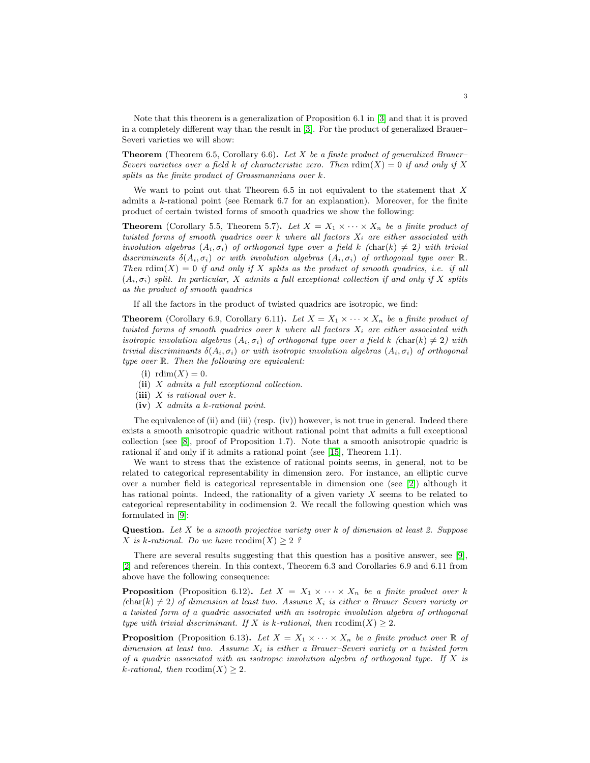Note that this theorem is a generalization of Proposition 6.1 in [\[3\]](#page-18-3) and that it is proved in a completely different way than the result in [\[3\]](#page-18-3). For the product of generalized Brauer– Severi varieties we will show:

**Theorem** (Theorem 6.5, Corollary 6.6). Let X be a finite product of generalized Brauer– Severi varieties over a field k of characteristic zero. Then  $\text{rdim}(X) = 0$  if and only if X splits as the finite product of Grassmannians over k.

We want to point out that Theorem  $6.5$  in not equivalent to the statement that  $X$ admits a  $k$ -rational point (see Remark 6.7 for an explanation). Moreover, for the finite product of certain twisted forms of smooth quadrics we show the following:

**Theorem** (Corollary 5.5, Theorem 5.7). Let  $X = X_1 \times \cdots \times X_n$  be a finite product of twisted forms of smooth quadrics over  $k$  where all factors  $X_i$  are either associated with involution algebras  $(A_i, \sigma_i)$  of orthogonal type over a field k (char(k)  $\neq 2$ ) with trivial discriminants  $\delta(A_i, \sigma_i)$  or with involution algebras  $(A_i, \sigma_i)$  of orthogonal type over  $\mathbb{R}$ . Then  $\text{rdim}(X) = 0$  if and only if X splits as the product of smooth quadrics, i.e. if all  $(A_i, \sigma_i)$  split. In particular, X admits a full exceptional collection if and only if X splits as the product of smooth quadrics

If all the factors in the product of twisted quadrics are isotropic, we find:

**Theorem** (Corollary 6.9, Corollary 6.11). Let  $X = X_1 \times \cdots \times X_n$  be a finite product of twisted forms of smooth quadrics over k where all factors  $X_i$  are either associated with isotropic involution algebras  $(A_i, \sigma_i)$  of orthogonal type over a field k (char(k)  $\neq 2$ ) with trivial discriminants  $\delta(A_i, \sigma_i)$  or with isotropic involution algebras  $(A_i, \sigma_i)$  of orthogonal type over R. Then the following are equivalent:

- (i)  $rdim(X) = 0$ .
- (ii) X admits a full exceptional collection.
- (iii)  $X$  is rational over  $k$ .
- $(iv)$  X admits a k-rational point.

The equivalence of (ii) and (iii) (resp. (iv)) however, is not true in general. Indeed there exists a smooth anisotropic quadric without rational point that admits a full exceptional collection (see [\[8\]](#page-18-4), proof of Proposition 1.7). Note that a smooth anisotropic quadric is rational if and only if it admits a rational point (see [\[15\]](#page-19-6), Theorem 1.1).

We want to stress that the existence of rational points seems, in general, not to be related to categorical representability in dimension zero. For instance, an elliptic curve over a number field is categorical representable in dimension one (see [\[2\]](#page-18-2)) although it has rational points. Indeed, the rationality of a given variety  $X$  seems to be related to categorical representability in codimension 2. We recall the following question which was formulated in [\[9\]](#page-18-5):

**Question.** Let  $X$  be a smooth projective variety over  $k$  of dimension at least 2. Suppose X is k-rational. Do we have  $\mathrm{rcodim}(X) \geq 2$ ?

There are several results suggesting that this question has a positive answer, see [\[9\]](#page-18-5), [\[2\]](#page-18-2) and references therein. In this context, Theorem 6.3 and Corollaries 6.9 and 6.11 from above have the following consequence:

**Proposition** (Proposition 6.12). Let  $X = X_1 \times \cdots \times X_n$  be a finite product over k  $(\text{char}(k) \neq 2)$  of dimension at least two. Assume  $X_i$  is either a Brauer–Severi variety or a twisted form of a quadric associated with an isotropic involution algebra of orthogonal type with trivial discriminant. If X is k-rational, then  $\text{rcodim}(X) \geq 2$ .

**Proposition** (Proposition 6.13). Let  $X = X_1 \times \cdots \times X_n$  be a finite product over  $\mathbb R$  of dimension at least two. Assume  $X_i$  is either a Brauer–Severi variety or a twisted form of a quadric associated with an isotropic involution algebra of orthogonal type. If  $X$  is k-rational, then  $\mathrm{rcodim}(X) \geq 2$ .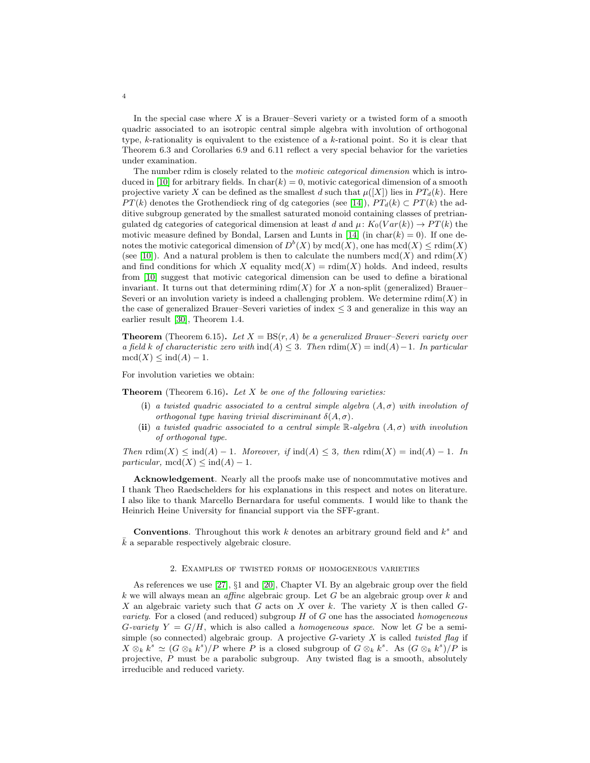In the special case where  $X$  is a Brauer–Severi variety or a twisted form of a smooth quadric associated to an isotropic central simple algebra with involution of orthogonal type, k-rationality is equivalent to the existence of a k-rational point. So it is clear that Theorem 6.3 and Corollaries 6.9 and 6.11 reflect a very special behavior for the varieties under examination.

The number rdim is closely related to the *motivic categorical dimension* which is intro-duced in [\[10\]](#page-19-7) for arbitrary fields. In char(k) = 0, motivic categorical dimension of a smooth projective variety X can be defined as the smallest d such that  $\mu([X])$  lies in  $PT_d(k)$ . Here  $PT(k)$  denotes the Grothendieck ring of dg categories (see [\[14\]](#page-19-8)),  $PT_d(k) \subset PT(k)$  the additive subgroup generated by the smallest saturated monoid containing classes of pretriangulated dg categories of categorical dimension at least d and  $\mu$ :  $K_0(Var(k)) \to PT(k)$  the motivic measure defined by Bondal, Larsen and Lunts in [\[14\]](#page-19-8) (in char(k) = 0). If one denotes the motivic categorical dimension of  $D^b(X)$  by  $\operatorname{med}(X)$ , one has  $\operatorname{med}(X) \leq \operatorname{rdim}(X)$ (see [\[10\]](#page-19-7)). And a natural problem is then to calculate the numbers  $\text{med}(X)$  and  $\text{rdim}(X)$ and find conditions for which X equality  $\text{med}(X) = \text{rdim}(X)$  holds. And indeed, results from [\[10\]](#page-19-7) suggest that motivic categorical dimension can be used to define a birational invariant. It turns out that determining  $\text{rdim}(X)$  for X a non-split (generalized) Brauer– Severi or an involution variety is indeed a challenging problem. We determine  $\text{rdim}(X)$  in the case of generalized Brauer–Severi varieties of index  $\leq$  3 and generalize in this way an earlier result [\[30\]](#page-19-9), Theorem 1.4.

**Theorem** (Theorem 6.15). Let  $X = BS(r, A)$  be a generalized Brauer–Severi variety over a field k of characteristic zero with  $\text{ind}(A) \leq 3$ . Then  $\text{rdim}(X) = \text{ind}(A) - 1$ . In particular  $\mathrm{mcd}(X) \leq \mathrm{ind}(A) - 1.$ 

For involution varieties we obtain:

**Theorem** (Theorem 6.16). Let  $X$  be one of the following varieties:

- (i) a twisted quadric associated to a central simple algebra  $(A, \sigma)$  with involution of orthogonal type having trivial discriminant  $\delta(A, \sigma)$ .
- (ii) a twisted quadric associated to a central simple  $\mathbb{R}$ -algebra  $(A, \sigma)$  with involution of orthogonal type.

Then rdim(X)  $\leq$  ind(A) – 1. Moreover, if ind(A)  $\leq$  3, then rdim(X) = ind(A) – 1. In particular,  $\text{med}(X) \leq \text{ind}(A) - 1$ .

Acknowledgement. Nearly all the proofs make use of noncommutative motives and I thank Theo Raedschelders for his explanations in this respect and notes on literature. I also like to thank Marcello Bernardara for useful comments. I would like to thank the Heinrich Heine University for financial support via the SFF-grant.

**Conventions**. Throughout this work  $k$  denotes an arbitrary ground field and  $k^s$  and  $\bar{k}$  a separable respectively algebraic closure.

#### 2. Examples of twisted forms of homogeneous varieties

As references we use [\[27\]](#page-19-5), §1 and [\[20\]](#page-19-10), Chapter VI. By an algebraic group over the field k we will always mean an *affine* algebraic group. Let  $G$  be an algebraic group over  $k$  and X an algebraic variety such that G acts on X over  $k$ . The variety X is then called  $G$ variety. For a closed (and reduced) subgroup  $H$  of  $G$  one has the associated homogeneous G-variety  $Y = G/H$ , which is also called a *homogeneous space*. Now let G be a semisimple (so connected) algebraic group. A projective  $G$ -variety  $X$  is called *twisted flag* if  $X \otimes_k k^s \simeq (G \otimes_k k^s)/P$  where P is a closed subgroup of  $G \otimes_k k^s$ . As  $(G \otimes_k k^s)/P$  is projective,  $P$  must be a parabolic subgroup. Any twisted flag is a smooth, absolutely irreducible and reduced variety.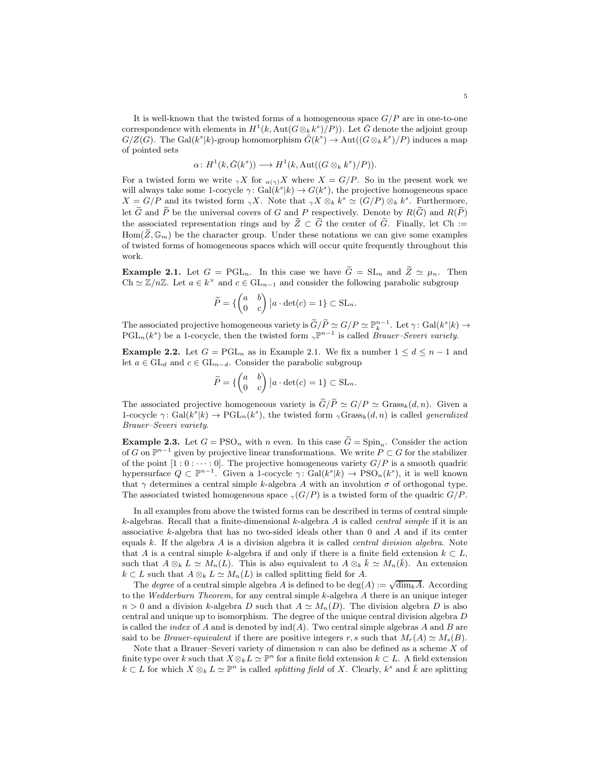It is well-known that the twisted forms of a homogeneous space  $G/P$  are in one-to-one correspondence with elements in  $H^1(k, \text{Aut}(G \otimes_k k^s)/P)$ ). Let  $\bar{G}$  denote the adjoint group  $G/Z(G)$ . The Gal( $k^s|k$ )-group homomorphism  $\bar{G}(k^s) \to \text{Aut}((G \otimes_k k^s)/P)$  induces a map of pointed sets

$$
\alpha \colon H^1(k, \bar{G}(k^s)) \longrightarrow H^1(k, \mathrm{Aut}((G \otimes_k k^s)/P)).
$$

For a twisted form we write  $\gamma X$  for  $\alpha(\gamma)X$  where  $X = G/P$ . So in the present work we will always take some 1-cocycle  $\gamma: Gal(k^s|k) \to G(k^s)$ , the projective homogeneous space  $X = G/P$  and its twisted form  $\gamma X$ . Note that  $\gamma X \otimes_k k^s \simeq (G/P) \otimes_k k^s$ . Furthermore, let  $\tilde{G}$  and  $\tilde{P}$  be the universal covers of G and P respectively. Denote by  $R(\tilde{G})$  and  $R(\tilde{P})$ the associated representation rings and by  $\widetilde{Z} \subset \widetilde{G}$  the center of  $\widetilde{G}$ . Finally, let Ch :=  $\text{Hom}(\widetilde{Z}, \mathbb{G}_m)$  be the character group. Under these notations we can give some examples of twisted forms of homogeneous spaces which will occur quite frequently throughout this work.

**Example 2.1.** Let  $G = \text{PGL}_n$ . In this case we have  $\widetilde{G} = \text{SL}_n$  and  $\widetilde{Z} \simeq \mu_n$ . Then Ch  $\simeq \mathbb{Z}/n\mathbb{Z}$ . Let  $a \in k^{\times}$  and  $c \in GL_{n-1}$  and consider the following parabolic subgroup

$$
\widetilde{P} = \left\{ \begin{pmatrix} a & b \\ 0 & c \end{pmatrix} \big| a \cdot \det(c) = 1 \right\} \subset \operatorname{SL}_n.
$$

The associated projective homogeneous variety is  $\widetilde{G}/\widetilde{P} \simeq G/P \simeq \mathbb{P}_{k}^{n-1}$ . Let  $\gamma: Gal(k^s|k) \to$  $PGL_n(k^s)$  be a 1-cocycle, then the twisted form  $\gamma \mathbb{P}^{n-1}$  is called *Brauer–Severi variety*.

Example 2.2. Let  $G = \text{PGL}_n$  as in Example 2.1. We fix a number  $1 \leq d \leq n-1$  and let  $a \in GL_d$  and  $c \in GL_{n-d}$ . Consider the parabolic subgroup

$$
\widetilde{P} = \left\{ \begin{pmatrix} a & b \\ 0 & c \end{pmatrix} \big| a \cdot \det(c) = 1 \right\} \subset \operatorname{SL}_n.
$$

The associated projective homogeneous variety is  $\widetilde{G}/\widetilde{P} \simeq G/P \simeq$  Grass $_k(d, n)$ . Given a 1-cocycle  $\gamma: Gal(k^s|k) \to PGL_n(k^s)$ , the twisted form  $_{\gamma}Grass_k(d, n)$  is called *generalized* Brauer–Severi variety.

**Example 2.3.** Let  $G = PSO_n$  with n even. In this case  $\tilde{G} = Spin_n$ . Consider the action of G on  $\mathbb{P}^{n-1}$  given by projective linear transformations. We write  $P \subset G$  for the stabilizer of the point  $[1:0:\cdots:0]$ . The projective homogeneous variety  $G/P$  is a smooth quadric hypersurface  $Q \subset \mathbb{P}^{n-1}$ . Given a 1-cocycle  $\gamma: Gal(k^s | k) \to PSO_n(k^s)$ , it is well known that  $\gamma$  determines a central simple k-algebra A with an involution  $\sigma$  of orthogonal type. The associated twisted homogeneous space  $\gamma(G/P)$  is a twisted form of the quadric  $G/P$ .

In all examples from above the twisted forms can be described in terms of central simple k-algebras. Recall that a finite-dimensional k-algebra A is called *central simple* if it is an associative k-algebra that has no two-sided ideals other than 0 and A and if its center equals  $k$ . If the algebra  $A$  is a division algebra it is called *central division algebra*. Note that A is a central simple k-algebra if and only if there is a finite field extension  $k \subset L$ , such that  $A \otimes_k L \simeq M_n(L)$ . This is also equivalent to  $A \otimes_k \bar{k} \simeq M_n(\bar{k})$ . An extension  $k \subset L$  such that  $A \otimes_k L \simeq M_n(L)$  is called splitting field for A.

The *degree* of a central simple algebra A is defined to be deg(A) :=  $\sqrt{\dim_k A}$ . According to the Wedderburn Theorem, for any central simple  $k$ -algebra A there is an unique integer  $n > 0$  and a division k-algebra D such that  $A \simeq M_n(D)$ . The division algebra D is also central and unique up to isomorphism. The degree of the unique central division algebra D is called the *index* of A and is denoted by  $\text{ind}(A)$ . Two central simple algebras A and B are said to be *Brauer-equivalent* if there are positive integers r, s such that  $M_r(A) \simeq M_s(B)$ .

Note that a Brauer–Severi variety of dimension  $n$  can also be defined as a scheme  $X$  of finite type over k such that  $X \otimes_k L \simeq \mathbb{P}^n$  for a finite field extension  $k \subset L$ . A field extension  $k \subset L$  for which  $X \otimes_k L \simeq \mathbb{P}^n$  is called *splitting field* of X. Clearly,  $k^s$  and  $\bar{k}$  are splitting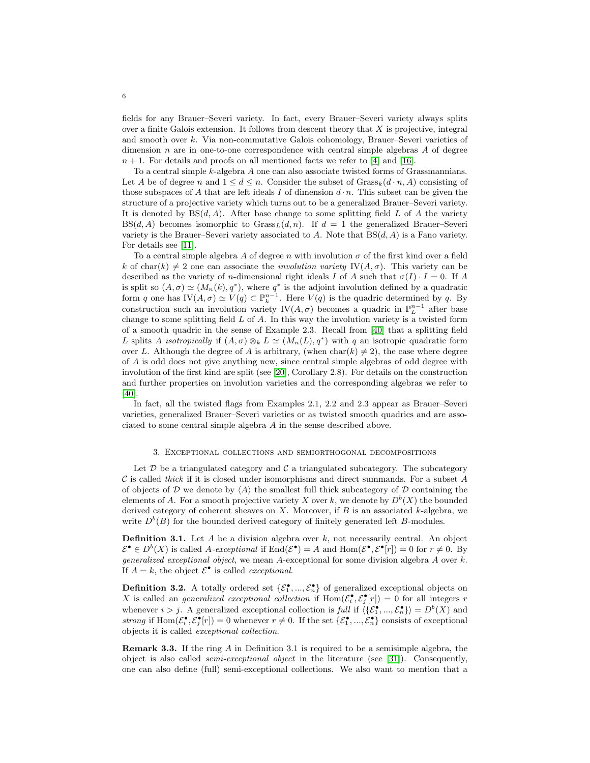fields for any Brauer–Severi variety. In fact, every Brauer–Severi variety always splits over a finite Galois extension. It follows from descent theory that  $X$  is projective, integral and smooth over k. Via non-commutative Galois cohomology, Brauer–Severi varieties of dimension n are in one-to-one correspondence with central simple algebras  $A$  of degree  $n + 1$ . For details and proofs on all mentioned facts we refer to [\[4\]](#page-18-6) and [\[16\]](#page-19-11).

To a central simple k-algebra A one can also associate twisted forms of Grassmannians. Let A be of degree n and  $1 \leq d \leq n$ . Consider the subset of  $\text{Grass}_k(d \cdot n, A)$  consisting of those subspaces of A that are left ideals I of dimension  $d \cdot n$ . This subset can be given the structure of a projective variety which turns out to be a generalized Brauer–Severi variety. It is denoted by  $BS(d, A)$ . After base change to some splitting field L of A the variety  $BS(d, A)$  becomes isomorphic to  $Grass<sub>L</sub>(d, n)$ . If  $d = 1$  the generalized Brauer–Severi variety is the Brauer–Severi variety associated to A. Note that  $BS(d, A)$  is a Fano variety. For details see [\[11\]](#page-19-12).

To a central simple algebra A of degree n with involution  $\sigma$  of the first kind over a field k of char(k)  $\neq 2$  one can associate the *involution variety* IV( $A, \sigma$ ). This variety can be described as the variety of n-dimensional right ideals I of A such that  $\sigma(I) \cdot I = 0$ . If A is split so  $(A, \sigma) \simeq (M_n(k), q^*)$ , where  $q^*$  is the adjoint involution defined by a quadratic form q one has  $IV(A, \sigma) \simeq V(q) \subset \mathbb{P}_k^{n-1}$ . Here  $V(q)$  is the quadric determined by q. By construction such an involution variety  $\mathrm{IV}(A,\sigma)$  becomes a quadric in  $\mathbb{P}^{n-1}_L$  after base change to some splitting field  $L$  of  $A$ . In this way the involution variety is a twisted form of a smooth quadric in the sense of Example 2.3. Recall from [\[40\]](#page-20-0) that a splitting field L splits A isotropically if  $(A, \sigma) \otimes_k L \simeq (M_n(L), q^*)$  with q an isotropic quadratic form over L. Although the degree of A is arbitrary, (when  $char(k) \neq 2$ ), the case where degree of A is odd does not give anything new, since central simple algebras of odd degree with involution of the first kind are split (see [\[20\]](#page-19-10), Corollary 2.8). For details on the construction and further properties on involution varieties and the corresponding algebras we refer to [\[40\]](#page-20-0).

In fact, all the twisted flags from Examples 2.1, 2.2 and 2.3 appear as Brauer–Severi varieties, generalized Brauer–Severi varieties or as twisted smooth quadrics and are associated to some central simple algebra A in the sense described above.

#### 3. Exceptional collections and semiorthogonal decompositions

Let  $\mathcal D$  be a triangulated category and  $\mathcal C$  a triangulated subcategory. The subcategory  $\mathcal C$  is called *thick* if it is closed under isomorphisms and direct summands. For a subset  $A$ of objects of D we denote by  $\langle A \rangle$  the smallest full thick subcategory of D containing the elements of A. For a smooth projective variety X over k, we denote by  $D^b(X)$  the bounded derived category of coherent sheaves on X. Moreover, if  $B$  is an associated k-algebra, we write  $D^b(B)$  for the bounded derived category of finitely generated left B-modules.

**Definition 3.1.** Let A be a division algebra over k, not necessarily central. An object  $\mathcal{E}^{\bullet} \in D^{b}(X)$  is called A-exceptional if  $\text{End}(\mathcal{E}^{\bullet}) = A$  and  $\text{Hom}(\mathcal{E}^{\bullet}, \mathcal{E}^{\bullet}[r]) = 0$  for  $r \neq 0$ . By *generalized exceptional object*, we mean  $A$ -exceptional for some division algebra  $A$  over  $k$ . If  $A = k$ , the object  $\mathcal{E}^{\bullet}$  is called *exceptional*.

**Definition 3.2.** A totally ordered set  $\{\mathcal{E}_1^{\bullet}, ..., \mathcal{E}_n^{\bullet}\}$  of generalized exceptional objects on X is called an *generalized exceptional collection* if  $\text{Hom}(\mathcal{E}_i^{\bullet}, \mathcal{E}_j^{\bullet}[r]) = 0$  for all integers r whenever  $i > j$ . A generalized exceptional collection is full if  $\langle \{\mathcal{E}_1^{\bullet}, ..., \mathcal{E}_n^{\bullet}\}\rangle = D^b(X)$  and strong if  $\text{Hom}(\mathcal{E}_i^{\bullet}, \mathcal{E}_j^{\bullet}[r]) = 0$  whenever  $r \neq 0$ . If the set  $\{\mathcal{E}_1^{\bullet}, ..., \mathcal{E}_n^{\bullet}\}$  consists of exceptional objects it is called exceptional collection.

**Remark 3.3.** If the ring A in Definition 3.1 is required to be a semisimple algebra, the object is also called *semi-exceptional object* in the literature (see [\[31\]](#page-19-13)). Consequently, one can also define (full) semi-exceptional collections. We also want to mention that a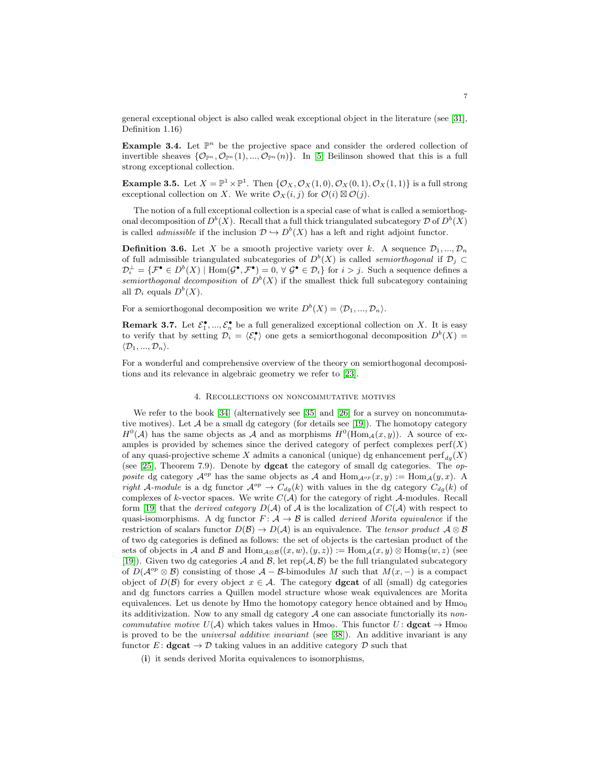general exceptional object is also called weak exceptional object in the literature (see [\[31\]](#page-19-13), Definition 1.16)

**Example 3.4.** Let  $\mathbb{P}^n$  be the projective space and consider the ordered collection of invertible sheaves  $\{\mathcal{O}_{\mathbb{P}^n}, \mathcal{O}_{\mathbb{P}^n}(1), ..., \mathcal{O}_{\mathbb{P}^n}(n)\}\$ . In [\[5\]](#page-18-7) Beilinson showed that this is a full strong exceptional collection.

**Example 3.5.** Let  $X = \mathbb{P}^1 \times \mathbb{P}^1$ . Then  $\{\mathcal{O}_X, \mathcal{O}_X(1,0), \mathcal{O}_X(0,1), \mathcal{O}_X(1,1)\}$  is a full strong exceptional collection on X. We write  $\mathcal{O}_X(i, j)$  for  $\mathcal{O}(i) \boxtimes \mathcal{O}(j)$ .

The notion of a full exceptional collection is a special case of what is called a semiorthogonal decomposition of  $D^b(X)$ . Recall that a full thick triangulated subcategory  $\mathcal D$  of  $D^b(X)$ is called *admissible* if the inclusion  $\mathcal{D} \hookrightarrow D^b(X)$  has a left and right adjoint functor.

**Definition 3.6.** Let X be a smooth projective variety over k. A sequence  $\mathcal{D}_1, ..., \mathcal{D}_n$ of full admissible triangulated subcategories of  $D^b(X)$  is called *semiorthogonal* if  $\mathcal{D}_j \subset$  $\mathcal{D}_i^{\perp} = \{ \mathcal{F}^{\bullet} \in D^b(X) \mid \text{Hom}(\mathcal{G}^{\bullet}, \mathcal{F}^{\bullet}) = 0, \forall \mathcal{G}^{\bullet} \in \mathcal{D}_i \}$  for  $i > j$ . Such a sequence defines a semiorthogonal decomposition of  $D^b(X)$  if the smallest thick full subcategory containing all  $\mathcal{D}_i$  equals  $D^b(X)$ .

For a semiorthogonal decomposition we write  $D^b(X) = \langle \mathcal{D}_1, ..., \mathcal{D}_n \rangle$ .

**Remark 3.7.** Let  $\mathcal{E}_1^{\bullet}$ , ...,  $\mathcal{E}_n^{\bullet}$  be a full generalized exceptional collection on X. It is easy to verify that by setting  $\mathcal{D}_i = \langle \mathcal{E}_i^{\bullet} \rangle$  one gets a semiorthogonal decomposition  $D^b(X) =$  $\langle \mathcal{D}_1, ..., \mathcal{D}_n \rangle$ .

For a wonderful and comprehensive overview of the theory on semiorthogonal decompositions and its relevance in algebraic geometry we refer to [\[23\]](#page-19-14).

# 4. Recollections on noncommutative motives

We refer to the book [\[34\]](#page-19-15) (alternatively see [\[35\]](#page-19-16) and [\[26\]](#page-19-17) for a survey on noncommutative motives). Let  $A$  be a small dg category (for details see [\[19\]](#page-19-18)). The homotopy category  $H^0(\mathcal{A})$  has the same objects as  $\mathcal{A}$  and as morphisms  $H^0(\text{Hom}_{\mathcal{A}}(x,y))$ . A source of examples is provided by schemes since the derived category of perfect complexes  $\text{perf}(X)$ of any quasi-projective scheme X admits a canonical (unique) dg enhancement  $\text{perf}_{d_g}(X)$ (see [\[25\]](#page-19-19), Theorem 7.9). Denote by **dgcat** the category of small dg categories. The *op*posite dg category  $\mathcal{A}^{op}$  has the same objects as A and  $\text{Hom}_{\mathcal{A}^{op}}(x, y) := \text{Hom}_{\mathcal{A}}(y, x)$ . right A-module is a dg functor  $\mathcal{A}^{op} \to C_{dg}(k)$  with values in the dg category  $C_{dg}(k)$  of complexes of k-vector spaces. We write  $C(\mathcal{A})$  for the category of right  $\mathcal{A}\text{-modules}$ . Recall form [\[19\]](#page-19-18) that the *derived category*  $D(\mathcal{A})$  of  $\mathcal A$  is the localization of  $C(\mathcal{A})$  with respect to quasi-isomorphisms. A dg functor  $F: \mathcal{A} \to \mathcal{B}$  is called *derived Morita equivalence* if the restriction of scalars functor  $D(\mathcal{B}) \to D(\mathcal{A})$  is an equivalence. The tensor product  $\mathcal{A} \otimes \mathcal{B}$ of two dg categories is defined as follows: the set of objects is the cartesian product of the sets of objects in A and B and Hom $_{\mathcal{A}\otimes\mathcal{B}}((x, w), (y, z)) := \text{Hom}_{\mathcal{A}}(x, y) \otimes \text{Hom}_{\mathcal{B}}(w, z)$  (see [\[19\]](#page-19-18)). Given two dg categories  $A$  and  $B$ , let rep( $A, B$ ) be the full triangulated subcategory of  $D(\mathcal{A}^{op} \otimes \mathcal{B})$  consisting of those  $\mathcal{A} - \mathcal{B}$ -bimodules M such that  $M(x, -)$  is a compact object of  $D(\mathcal{B})$  for every object  $x \in \mathcal{A}$ . The category **dgcat** of all (small) dg categories and dg functors carries a Quillen model structure whose weak equivalences are Morita equivalences. Let us denote by Hmo the homotopy category hence obtained and by  $\rm Hm_{0}$ its additivization. Now to any small dg category  $A$  one can associate functorially its noncommutative motive  $U(\mathcal{A})$  which takes values in Hmo<sub>0</sub>. This functor  $U: \mathbf{dgcat} \to \text{Hmo}_0$ is proved to be the universal additive invariant (see [\[38\]](#page-19-20)). An additive invariant is any functor E:  $\text{dgcat} \to \mathcal{D}$  taking values in an additive category  $\mathcal{D}$  such that

(i) it sends derived Morita equivalences to isomorphisms,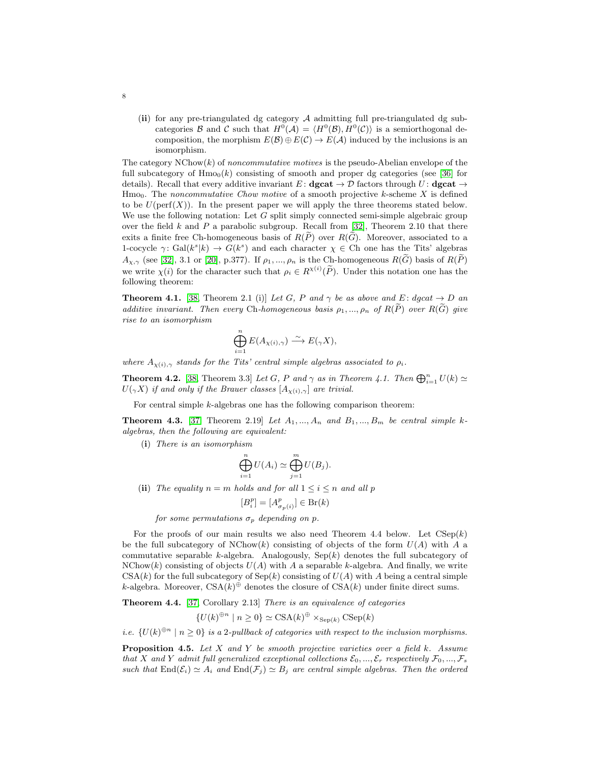(ii) for any pre-triangulated dg category A admitting full pre-triangulated dg subcategories  $\mathcal B$  and  $\mathcal C$  such that  $H^0(\mathcal A) = \langle H^0(\mathcal B), H^0(\mathcal C)\rangle$  is a semiorthogonal decomposition, the morphism  $E(\mathcal{B}) \oplus E(\mathcal{C}) \to E(\mathcal{A})$  induced by the inclusions is an isomorphism.

The category  $NChow(k)$  of noncommutative motives is the pseudo-Abelian envelope of the full subcategory of  $\text{Hmo}_0(k)$  consisting of smooth and proper dg categories (see [\[36\]](#page-19-21) for details). Recall that every additive invariant E:  $\text{dgcat} \rightarrow \mathcal{D}$  factors through U:  $\text{dgcat} \rightarrow$  $H_{\text{mO}_0}$ . The noncommutative Chow motive of a smooth projective k-scheme X is defined to be  $U(\text{perf}(X))$ . In the present paper we will apply the three theorems stated below. We use the following notation: Let  $G$  split simply connected semi-simple algebraic group over the field k and P a parabolic subgroup. Recall from  $[32]$ , Theorem 2.10 that there exits a finite free Ch-homogeneous basis of  $R(\widetilde{P})$  over  $R(\widetilde{G})$ . Moreover, associated to a 1-cocycle  $\gamma: Gal(k^s|k) \to G(k^s)$  and each character  $\chi \in \mathcal{C}$ h one has the Tits' algebras  $A_{\chi,\gamma}$  (see [\[32\]](#page-19-4), 3.1 or [\[20\]](#page-19-10), p.377). If  $\rho_1,...,\rho_n$  is the Ch-homogeneous  $R(\widetilde{G})$  basis of  $R(\widetilde{P})$ we write  $\chi(i)$  for the character such that  $\rho_i \in R^{\chi(i)}(\tilde{P})$ . Under this notation one has the following theorem:

**Theorem 4.1.** [\[38,](#page-19-20) Theorem 2.1 (i)] Let G, P and  $\gamma$  be as above and E: dgcat  $\rightarrow$  D an additive invariant. Then every Ch-homogeneous basis  $\rho_1, ..., \rho_n$  of  $R(\widetilde{P})$  over  $R(\widetilde{G})$  give rise to an isomorphism

$$
\bigoplus_{i=1}^n E(A_{\chi(i),\gamma}) \xrightarrow{\sim} E(\gamma X),
$$

where  $A_{\gamma(i),\gamma}$  stands for the Tits' central simple algebras associated to  $\rho_i$ .

**Theorem 4.2.** [\[38,](#page-19-20) Theorem 3.3] Let G, P and  $\gamma$  as in Theorem 4.1. Then  $\bigoplus_{i=1}^{n} U(k) \simeq$  $U(\gamma X)$  if and only if the Brauer classes  $[A_{\gamma(i),\gamma}]$  are trivial.

For central simple k-algebras one has the following comparison theorem:

**Theorem 4.3.** [\[37,](#page-19-3) Theorem 2.19] Let  $A_1, ..., A_n$  and  $B_1, ..., B_m$  be central simple kalgebras, then the following are equivalent:

(i) There is an isomorphism

$$
\bigoplus_{i=1}^n U(A_i) \simeq \bigoplus_{j=1}^m U(B_j).
$$

(ii) The equality  $n = m$  holds and for all  $1 \leq i \leq n$  and all p

$$
[B_i^p] = [A_{\sigma_p(i)}^p] \in \text{Br}(k)
$$

for some permutations  $\sigma_p$  depending on p.

For the proofs of our main results we also need Theorem 4.4 below. Let  $C\text{Sep}(k)$ be the full subcategory of  $NChow(k)$  consisting of objects of the form  $U(A)$  with A a commutative separable  $k$ -algebra. Analogously,  $Sep(k)$  denotes the full subcategory of  $NChow(k)$  consisting of objects  $U(A)$  with A a separable k-algebra. And finally, we write  $CSA(k)$  for the full subcategory of  $Sep(k)$  consisting of  $U(A)$  with A being a central simple k-algebra. Moreover,  $CSA(k)$ <sup> $\oplus$ </sup> denotes the closure of  $CSA(k)$  under finite direct sums.

Theorem 4.4. [\[37,](#page-19-3) Corollary 2.13] There is an equivalence of categories

 $\{U(k)^{\oplus n} \mid n \geq 0\} \simeq \operatorname{CSA}(k)^{\oplus} \times_{\operatorname{Sep}(k)} \operatorname{CSep}(k)$ 

i.e.  $\{U(k)^{\oplus n} \mid n \geq 0\}$  is a 2-pullback of categories with respect to the inclusion morphisms.

**Proposition 4.5.** Let X and Y be smooth projective varieties over a field k. Assume that X and Y admit full generalized exceptional collections  $\mathcal{E}_0, ..., \mathcal{E}_r$  respectively  $\mathcal{F}_0, ..., \mathcal{F}_s$ such that  $\text{End}(\mathcal{E}_i) \simeq A_i$  and  $\text{End}(\mathcal{F}_j) \simeq B_j$  are central simple algebras. Then the ordered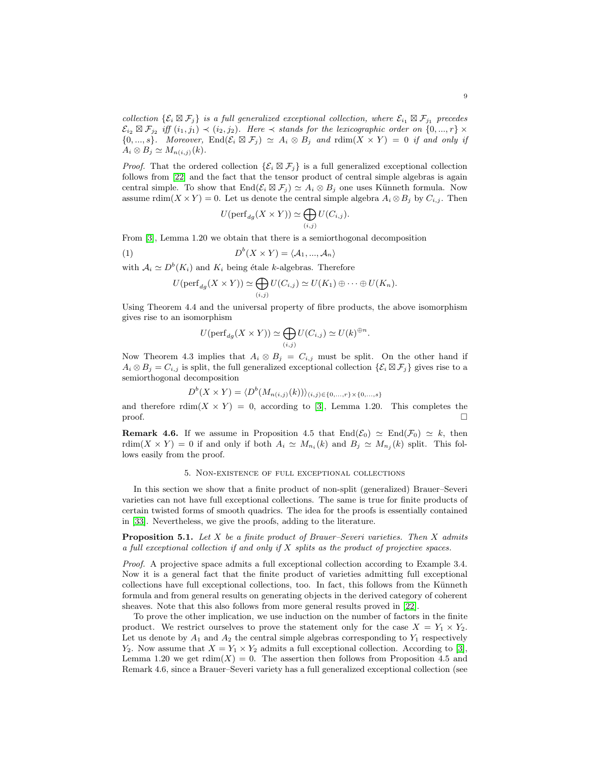collection  $\{\mathcal{E}_i \boxtimes \mathcal{F}_j\}$  is a full generalized exceptional collection, where  $\mathcal{E}_{i_1} \boxtimes \mathcal{F}_{j_1}$  precedes  $\mathcal{E}_{i_2} \boxtimes \mathcal{F}_{j_2}$  iff  $(i_1, j_1) \prec (i_2, j_2)$ . Here  $\prec$  stands for the lexicographic order on  $\{0, ..., r\}$   $\times$  ${0, ..., s}$ . Moreover, End $(\mathcal{E}_i \boxtimes \mathcal{F}_j) \simeq A_i \otimes B_j$  and  $\text{rdim}(X \times Y) = 0$  if and only if  $A_i \otimes B_j \simeq M_{n(i,j)}(k).$ 

*Proof.* That the ordered collection  $\{\mathcal{E}_i \boxtimes \mathcal{F}_j\}$  is a full generalized exceptional collection follows from [\[22\]](#page-19-22) and the fact that the tensor product of central simple algebras is again central simple. To show that  $\text{End}(\mathcal{E}_i \boxtimes \mathcal{F}_j) \simeq A_i \otimes B_j$  one uses Künneth formula. Now assume rdim(X × Y) = 0. Let us denote the central simple algebra  $A_i \otimes B_j$  by  $C_{i,j}$ . Then

$$
U(\mathrm{perf}_{dg}(X \times Y)) \simeq \bigoplus_{(i,j)} U(C_{i,j}).
$$

From [\[3\]](#page-18-3), Lemma 1.20 we obtain that there is a semiorthogonal decomposition

(1) 
$$
D^{b}(X \times Y) = \langle A_{1},..., A_{n} \rangle
$$

with  $A_i \simeq D^b(K_i)$  and  $K_i$  being étale k-algebras. Therefore

$$
U(\mathrm{perf}_{dg}(X \times Y)) \simeq \bigoplus_{(i,j)} U(C_{i,j}) \simeq U(K_1) \oplus \cdots \oplus U(K_n).
$$

Using Theorem 4.4 and the universal property of fibre products, the above isomorphism gives rise to an isomorphism

$$
U(\mathrm{perf}_{dg}(X \times Y)) \simeq \bigoplus_{(i,j)} U(C_{i,j}) \simeq U(k)^{\oplus n}.
$$

Now Theorem 4.3 implies that  $A_i \otimes B_j = C_{i,j}$  must be split. On the other hand if  $A_i \otimes B_j = C_{i,j}$  is split, the full generalized exceptional collection  $\{\mathcal{E}_i \boxtimes \mathcal{F}_j\}$  gives rise to a semiorthogonal decomposition

$$
D^{b}(X \times Y) = \langle D^{b}(M_{n(i,j)}(k)) \rangle_{(i,j) \in \{0,\ldots,r\} \times \{0,\ldots,s\}}
$$

and therefore  $\text{rdim}(X \times Y) = 0$ , according to [\[3\]](#page-18-3), Lemma 1.20. This completes the proof.  $\Box$ 

**Remark 4.6.** If we assume in Proposition 4.5 that  $\text{End}(\mathcal{E}_0) \simeq \text{End}(\mathcal{F}_0) \simeq k$ , then rdim(X × Y) = 0 if and only if both  $A_i \simeq M_{n_i}(k)$  and  $B_j \simeq M_{n_j}(k)$  split. This follows easily from the proof.

## 5. Non-existence of full exceptional collections

In this section we show that a finite product of non-split (generalized) Brauer–Severi varieties can not have full exceptional collections. The same is true for finite products of certain twisted forms of smooth quadrics. The idea for the proofs is essentially contained in [\[33\]](#page-19-1). Nevertheless, we give the proofs, adding to the literature.

<span id="page-8-0"></span>**Proposition 5.1.** Let  $X$  be a finite product of Brauer–Severi varieties. Then  $X$  admits a full exceptional collection if and only if  $X$  splits as the product of projective spaces.

Proof. A projective space admits a full exceptional collection according to Example 3.4. Now it is a general fact that the finite product of varieties admitting full exceptional collections have full exceptional collections, too. In fact, this follows from the Künneth formula and from general results on generating objects in the derived category of coherent sheaves. Note that this also follows from more general results proved in [\[22\]](#page-19-22).

To prove the other implication, we use induction on the number of factors in the finite product. We restrict ourselves to prove the statement only for the case  $X = Y_1 \times Y_2$ . Let us denote by  $A_1$  and  $A_2$  the central simple algebras corresponding to  $Y_1$  respectively  $Y_2$ . Now assume that  $X = Y_1 \times Y_2$  admits a full exceptional collection. According to [\[3\]](#page-18-3), Lemma 1.20 we get  $\text{rdim}(X) = 0$ . The assertion then follows from Proposition 4.5 and Remark 4.6, since a Brauer–Severi variety has a full generalized exceptional collection (see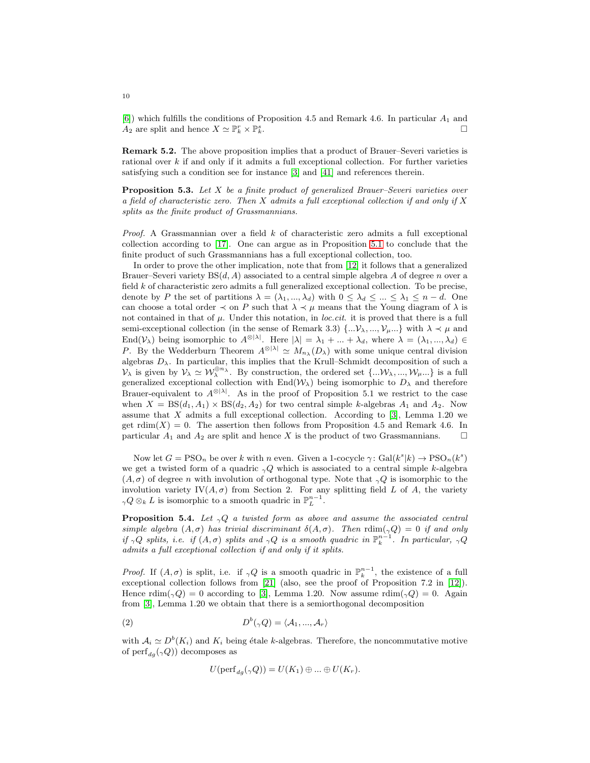[\[6\]](#page-18-8)) which fulfills the conditions of Proposition 4.5 and Remark 4.6. In particular  $A_1$  and  $A_2$  are split and hence  $X \simeq \mathbb{P}_k^r \times \mathbb{P}_k^s$  $\sum_{k}^{s}$ .

Remark 5.2. The above proposition implies that a product of Brauer–Severi varieties is rational over  $k$  if and only if it admits a full exceptional collection. For further varieties satisfying such a condition see for instance [\[3\]](#page-18-3) and [\[41\]](#page-20-1) and references therein.

**Proposition 5.3.** Let  $X$  be a finite product of generalized Brauer–Severi varieties over a field of characteristic zero. Then  $X$  admits a full exceptional collection if and only if  $X$ splits as the finite product of Grassmannians.

*Proof.* A Grassmannian over a field  $k$  of characteristic zero admits a full exceptional collection according to [\[17\]](#page-19-23). One can argue as in Proposition [5.1](#page-8-0) to conclude that the finite product of such Grassmannians has a full exceptional collection, too.

In order to prove the other implication, note that from [\[12\]](#page-19-24) it follows that a generalized Brauer–Severi variety  $BS(d, A)$  associated to a central simple algebra A of degree n over a field  $k$  of characteristic zero admits a full generalized exceptional collection. To be precise, denote by P the set of partitions  $\lambda = (\lambda_1, ..., \lambda_d)$  with  $0 \leq \lambda_d \leq ... \leq \lambda_1 \leq n - d$ . One can choose a total order  $\prec$  on P such that  $\lambda \prec \mu$  means that the Young diagram of  $\lambda$  is not contained in that of  $\mu$ . Under this notation, in *loc.cit*. it is proved that there is a full semi-exceptional collection (in the sense of Remark 3.3)  $\{\ldots, \mathcal{V}_{\mu}, \ldots\}$  with  $\lambda \prec \mu$  and End( $V_{\lambda}$ ) being isomorphic to  $A^{\otimes |\lambda|}$ . Here  $|\lambda| = \lambda_1 + ... + \lambda_d$ , where  $\lambda = (\lambda_1, ..., \lambda_d) \in$ P. By the Wedderburn Theorem  $A^{\otimes |\lambda|} \simeq M_{n_\lambda}(D_\lambda)$  with some unique central division algebras  $D_{\lambda}$ . In particular, this implies that the Krull–Schmidt decomposition of such a  $\mathcal{V}_{\lambda}$  is given by  $\mathcal{V}_{\lambda} \simeq \mathcal{W}_{\lambda}^{\oplus n_{\lambda}}$ . By construction, the ordered set  $\{\ldots \mathcal{W}_{\lambda}, \ldots, \mathcal{W}_{\mu} \ldots\}$  is a full generalized exceptional collection with  $\text{End}(\mathcal{W}_\lambda)$  being isomorphic to  $D_\lambda$  and therefore Brauer-equivalent to  $A^{\otimes |\lambda|}$ . As in the proof of Proposition 5.1 we restrict to the case when  $X = BS(d_1, A_1) \times BS(d_2, A_2)$  for two central simple k-algebras  $A_1$  and  $A_2$ . Now assume that  $X$  admits a full exceptional collection. According to [\[3\]](#page-18-3), Lemma 1.20 we get  $\text{rdim}(X) = 0$ . The assertion then follows from Proposition 4.5 and Remark 4.6. In particular  $A_1$  and  $A_2$  are split and hence X is the product of two Grassmannians.  $\square$ 

Now let  $G = \text{PSO}_n$  be over k with n even. Given a 1-cocycle  $\gamma: \text{Gal}(k^s | k) \to \text{PSO}_n(k^s)$ we get a twisted form of a quadric  $\gamma Q$  which is associated to a central simple k-algebra  $(A, \sigma)$  of degree n with involution of orthogonal type. Note that  $_{\gamma}Q$  is isomorphic to the involution variety  $IV(A, \sigma)$  from Section 2. For any splitting field L of A, the variety  $_{\gamma}Q\otimes_{k}L$  is isomorphic to a smooth quadric in  $\mathbb{P}_{L}^{n-1}$ .

**Proposition 5.4.** Let  $_{\gamma}Q$  a twisted form as above and assume the associated central simple algebra  $(A, \sigma)$  has trivial discriminant  $\delta(A, \sigma)$ . Then  $\text{rdim}(\gamma Q) = 0$  if and only if  $\gamma Q$  splits, i.e. if  $(A, \sigma)$  splits and  $\gamma Q$  is a smooth quadric in  $\mathbb{P}_k^{n-1}$ . In particular,  $\gamma Q$ admits a full exceptional collection if and only if it splits.

*Proof.* If  $(A, \sigma)$  is split, i.e. if  $\gamma Q$  is a smooth quadric in  $\mathbb{P}_k^{n-1}$ , the existence of a full exceptional collection follows from [\[21\]](#page-19-25) (also, see the proof of Proposition 7.2 in [\[12\]](#page-19-24)). Hence  $\text{rdim}(\gamma Q) = 0$  according to [\[3\]](#page-18-3), Lemma 1.20. Now assume  $\text{rdim}(\gamma Q) = 0$ . Again from [\[3\]](#page-18-3), Lemma 1.20 we obtain that there is a semiorthogonal decomposition

(2) 
$$
D^{b}(\gamma Q) = \langle A_1, ..., A_r \rangle
$$

with  $A_i \simeq D^b(K_i)$  and  $K_i$  being étale k-algebras. Therefore, the noncommutative motive of  $\text{perf}_{dq}(\gamma Q)$ ) decomposes as

$$
U(\mathrm{perf}_{dg}(\gamma Q)) = U(K_1) \oplus ... \oplus U(K_r).
$$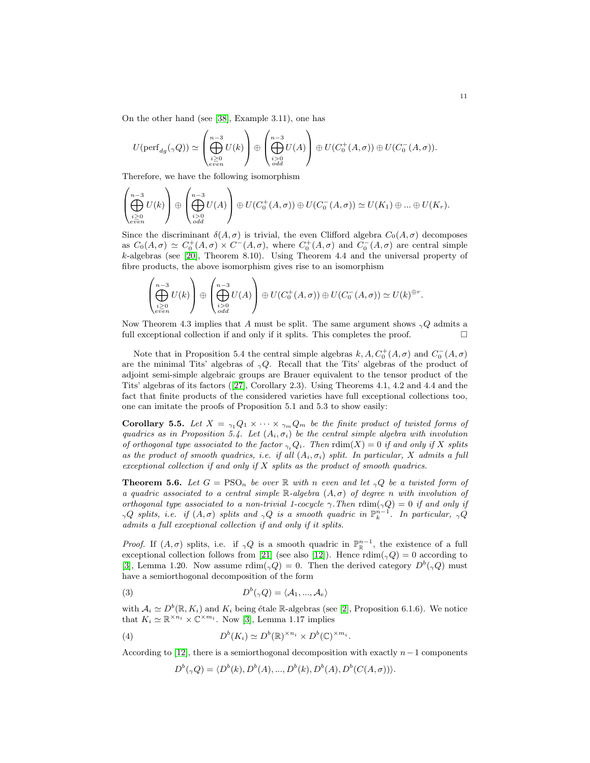On the other hand (see [\[38\]](#page-19-20), Example 3.11), one has

$$
U(\mathrm{perf}_{dg}(\gamma Q)) \simeq \left(\bigoplus_{\substack{i \geq 0 \\ e\,i\, \text{on}}}^{n-3} U(k)\right) \oplus \left(\bigoplus_{\substack{i > 0 \\ odd}}^{n-3} U(A)\right) \oplus U(C_0^+(A, \sigma)) \oplus U(C_0^-(A, \sigma)).
$$

Therefore, we have the following isomorphism

$$
\left(\bigoplus_{\substack{i\geq 0\\even}}^{n-3} U(k)\right) \oplus \left(\bigoplus_{\substack{i>0\\odd}}^{n-3} U(A)\right) \oplus U(C_0^+(A,\sigma)) \oplus U(C_0^-(A,\sigma)) \simeq U(K_1) \oplus \ldots \oplus U(K_r).
$$

Since the discriminant  $\delta(A,\sigma)$  is trivial, the even Clifford algebra  $C_0(A,\sigma)$  decomposes as  $C_0(A,\sigma) \simeq C_0^+(A,\sigma) \times C^-(A,\sigma)$ , where  $C_0^+(A,\sigma)$  and  $C_0^-(A,\sigma)$  are central simple k-algebras (see [\[20\]](#page-19-10), Theorem 8.10). Using Theorem 4.4 and the universal property of fibre products, the above isomorphism gives rise to an isomorphism

$$
\left(\bigoplus_{\substack{i\geq 0\\even}}^{n-3} U(k)\right) \oplus \left(\bigoplus_{\substack{i>0\\odd}}^{n-3} U(A)\right) \oplus U(C_0^+(A,\sigma)) \oplus U(C_0^-(A,\sigma)) \simeq U(k)^{\oplus r}.
$$

Now Theorem 4.3 implies that A must be split. The same argument shows  ${}_{\gamma}Q$  admits a full exceptional collection if and only if it splits. This completes the proof.  $\Box$ 

Note that in Proposition 5.4 the central simple algebras  $k, A, C_0^+(A, \sigma)$  and  $C_0^-(A, \sigma)$ are the minimal Tits' algebras of  $\gamma Q$ . Recall that the Tits' algebras of the product of adjoint semi-simple algebraic groups are Brauer equivalent to the tensor product of the Tits' algebras of its factors ([\[27\]](#page-19-5), Corollary 2.3). Using Theorems 4.1, 4.2 and 4.4 and the fact that finite products of the considered varieties have full exceptional collections too, one can imitate the proofs of Proposition 5.1 and 5.3 to show easily:

**Corollary 5.5.** Let  $X = \gamma_1 Q_1 \times \cdots \times \gamma_m Q_m$  be the finite product of twisted forms of quadrics as in Proposition 5.4. Let  $(A_i, \sigma_i)$  be the central simple algebra with involution of orthogonal type associated to the factor  $\gamma_i Q_i$ . Then  $\text{rdim}(X) = 0$  if and only if X splits as the product of smooth quadrics, i.e. if all  $(A_i, \sigma_i)$  split. In particular, X admits a full exceptional collection if and only if  $X$  splits as the product of smooth quadrics.

**Theorem 5.6.** Let  $G = PSO_n$  be over R with n even and let  $_{\gamma}Q$  be a twisted form of a quadric associated to a central simple  $\mathbb{R}$ -algebra  $(A, \sigma)$  of degree n with involution of orthogonal type associated to a non-trivial 1-cocycle  $\gamma$ . Then  $\text{rdim}(\gamma Q) = 0$  if and only if  $\gamma Q$  splits, i.e. if  $(A,\sigma)$  splits and  $\gamma Q$  is a smooth quadric in  $\mathbb{P}_k^{n-1}$ . In particular,  $\gamma Q$ admits a full exceptional collection if and only if it splits.

*Proof.* If  $(A, \sigma)$  splits, i.e. if  $\gamma Q$  is a smooth quadric in  $\mathbb{P}_{\mathbb{R}}^{n-1}$ , the existence of a full exceptional collection follows from [\[21\]](#page-19-25) (see also [\[12\]](#page-19-24)). Hence  $\text{rdim}(\gamma Q) = 0$  according to [\[3\]](#page-18-3), Lemma 1.20. Now assume  $\text{rdim}(\gamma Q) = 0$ . Then the derived category  $D^b(\gamma Q)$  must have a semiorthogonal decomposition of the form

(3) 
$$
D^{b}(\gamma Q) = \langle A_1, ..., A_e \rangle
$$

with  $A_i \simeq D^b(\mathbb{R}, K_i)$  and  $K_i$  being étale R-algebras (see [\[2\]](#page-18-2), Proposition 6.1.6). We notice that  $K_i \simeq \mathbb{R}^{\times n_i} \times \mathbb{C}^{\times m_i}$ . Now [\[3\]](#page-18-3), Lemma 1.17 implies

(4) 
$$
D^{b}(K_i) \simeq D^{b}(\mathbb{R})^{\times n_i} \times D^{b}(\mathbb{C})^{\times m_i}.
$$

According to [\[12\]](#page-19-24), there is a semiorthogonal decomposition with exactly  $n-1$  components

$$
D^{b}(\gamma Q) = \langle D^{b}(k), D^{b}(A), ..., D^{b}(k), D^{b}(A), D^{b}(C(A, \sigma)) \rangle.
$$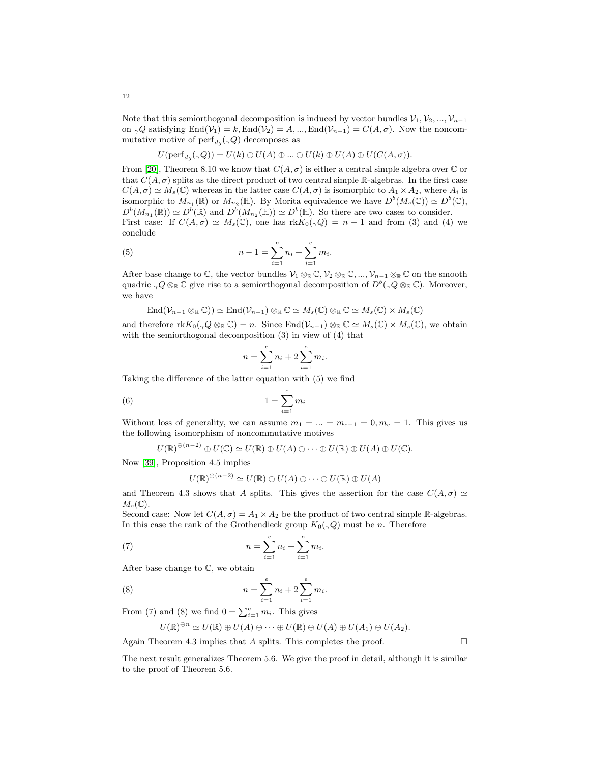12

Note that this semiorthogonal decomposition is induced by vector bundles  $\mathcal{V}_1, \mathcal{V}_2, ..., \mathcal{V}_{n-1}$ on  $_{\gamma}Q$  satisfying End(V<sub>1</sub>) = k, End(V<sub>2</sub>) = A, ..., End(V<sub>n−1</sub>) = C(A, $\sigma$ ). Now the noncommutative motive of  $\text{perf}_{dg}(\gamma Q)$  decomposes as

$$
U(\mathrm{perf}_{dg}(\gamma Q)) = U(k) \oplus U(A) \oplus ... \oplus U(k) \oplus U(A) \oplus U(C(A, \sigma)).
$$

From [\[20\]](#page-19-10), Theorem 8.10 we know that  $C(A, \sigma)$  is either a central simple algebra over  $\mathbb C$  or that  $C(A, \sigma)$  splits as the direct product of two central simple R-algebras. In the first case  $C(A, \sigma) \simeq M_s(\mathbb{C})$  whereas in the latter case  $C(A, \sigma)$  is isomorphic to  $A_1 \times A_2$ , where  $A_i$  is isomorphic to  $M_{n_1}(\mathbb{R})$  or  $M_{n_2}(\mathbb{H})$ . By Morita equivalence we have  $D^b(M_s(\mathbb{C})) \simeq D^b(\mathbb{C}),$  $D^{b}(M_{n_1}(\mathbb{R})) \simeq D^{b}(\mathbb{R})$  and  $D^{b}(M_{n_2}(\mathbb{H})) \simeq D^{b}(\mathbb{H})$ . So there are two cases to consider. First case: If  $C(A, \sigma) \simeq M_s(\mathbb{C})$ , one has  $\text{rk} K_0(\gamma Q) = n - 1$  and from (3) and (4) we conclude

(5) 
$$
n-1 = \sum_{i=1}^{e} n_i + \sum_{i=1}^{e} m_i.
$$

After base change to  $\mathbb{C}$ , the vector bundles  $\mathcal{V}_1 \otimes_{\mathbb{R}} \mathbb{C}, \mathcal{V}_2 \otimes_{\mathbb{R}} \mathbb{C}, \dots, \mathcal{V}_{n-1} \otimes_{\mathbb{R}} \mathbb{C}$  on the smooth quadric  ${}_{\gamma}Q\otimes_{\mathbb{R}}\mathbb{C}$  give rise to a semiorthogonal decomposition of  $D^b({}_{\gamma}Q\otimes_{\mathbb{R}}\mathbb{C})$ . Moreover, we have

$$
\text{End}(\mathcal{V}_{n-1}\otimes_{\mathbb{R}}\mathbb{C}))\simeq \text{End}(\mathcal{V}_{n-1})\otimes_{\mathbb{R}}\mathbb{C}\simeq M_s(\mathbb{C})\otimes_{\mathbb{R}}\mathbb{C}\simeq M_s(\mathbb{C})\times M_s(\mathbb{C})
$$

and therefore  $\text{rk} K_0(\gamma Q \otimes_{\mathbb{R}} \mathbb{C}) = n$ . Since  $\text{End}(\mathcal{V}_{n-1}) \otimes_{\mathbb{R}} \mathbb{C} \simeq M_s(\mathbb{C}) \times M_s(\mathbb{C})$ , we obtain with the semiorthogonal decomposition  $(3)$  in view of  $(4)$  that

$$
n = \sum_{i=1}^{e} n_i + 2 \sum_{i=1}^{e} m_i.
$$

Taking the difference of the latter equation with (5) we find

$$
(6) \t\t\t 1 = \sum_{i=1}^{e} m_i
$$

Without loss of generality, we can assume  $m_1 = ... = m_{e-1} = 0, m_e = 1$ . This gives us the following isomorphism of noncommutative motives

$$
U(\mathbb{R})^{\oplus (n-2)} \oplus U(\mathbb{C}) \simeq U(\mathbb{R}) \oplus U(A) \oplus \cdots \oplus U(\mathbb{R}) \oplus U(A) \oplus U(\mathbb{C}).
$$

Now [\[39\]](#page-20-2), Proposition 4.5 implies

$$
U(\mathbb{R})^{\oplus (n-2)} \simeq U(\mathbb{R}) \oplus U(A) \oplus \cdots \oplus U(\mathbb{R}) \oplus U(A)
$$

and Theorem 4.3 shows that A splits. This gives the assertion for the case  $C(A, \sigma) \simeq$  $M_s(\mathbb{C})$ .

Second case: Now let  $C(A, \sigma) = A_1 \times A_2$  be the product of two central simple R-algebras. In this case the rank of the Grothendieck group  $K_0(\gamma Q)$  must be n. Therefore

(7) 
$$
n = \sum_{i=1}^{e} n_i + \sum_{i=1}^{e} m_i.
$$

After base change to C, we obtain

(8) 
$$
n = \sum_{i=1}^{e} n_i + 2 \sum_{i=1}^{e} m_i.
$$

From (7) and (8) we find  $0 = \sum_{i=1}^{e} m_i$ . This gives

$$
U(\mathbb{R})^{\oplus n} \simeq U(\mathbb{R}) \oplus U(A) \oplus \cdots \oplus U(\mathbb{R}) \oplus U(A) \oplus U(A_1) \oplus U(A_2).
$$

Again Theorem 4.3 implies that A splits. This completes the proof.  $\Box$ 

The next result generalizes Theorem 5.6. We give the proof in detail, although it is similar to the proof of Theorem 5.6.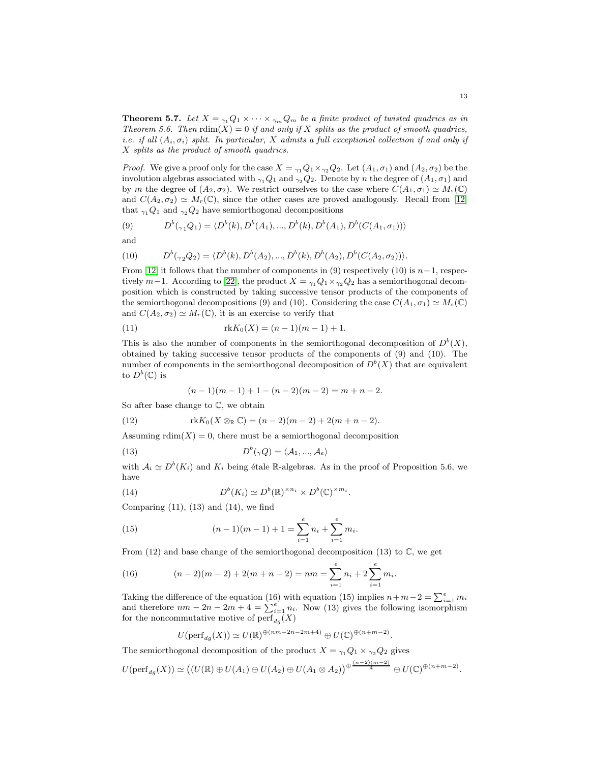**Theorem 5.7.** Let  $X = \gamma_1 Q_1 \times \cdots \times \gamma_m Q_m$  be a finite product of twisted quadrics as in Theorem 5.6. Then  $\text{rdim}(X) = 0$  if and only if X splits as the product of smooth quadrics, i.e. if all  $(A_i, \sigma_i)$  split. In particular, X admits a full exceptional collection if and only if X splits as the product of smooth quadrics.

*Proof.* We give a proof only for the case  $X = \gamma_1 Q_1 \times \gamma_2 Q_2$ . Let  $(A_1, \sigma_1)$  and  $(A_2, \sigma_2)$  be the involution algebras associated with  $_{\gamma_1}Q_1$  and  $_{\gamma_2}Q_2$ . Denote by n the degree of  $(A_1,\sigma_1)$  and by m the degree of  $(A_2, \sigma_2)$ . We restrict ourselves to the case where  $C(A_1, \sigma_1) \simeq M_s(\mathbb{C})$ and  $C(A_2, \sigma_2) \simeq M_r(\mathbb{C})$ , since the other cases are proved analogously. Recall from [\[12\]](#page-19-24) that  $_{\gamma_1}Q_1$  and  $_{\gamma_2}Q_2$  have semiorthogonal decompositions

(9) 
$$
D^{b}(\gamma_{1}Q_{1}) = \langle D^{b}(k), D^{b}(A_{1}), ..., D^{b}(k), D^{b}(A_{1}), D^{b}(C(A_{1}, \sigma_{1})) \rangle
$$

and

(10) 
$$
D^{b}(\gamma_{2}Q_{2}) = \langle D^{b}(k), D^{b}(A_{2}), ..., D^{b}(k), D^{b}(A_{2}), D^{b}(C(A_{2}, \sigma_{2})) \rangle.
$$

From [\[12\]](#page-19-24) it follows that the number of components in (9) respectively (10) is  $n-1$ , respectively  $m-1$ . According to [\[22\]](#page-19-22), the product  $X = \gamma_1 Q_1 \times \gamma_2 Q_2$  has a semiorthogonal decomposition which is constructed by taking successive tensor products of the components of the semiorthogonal decompositions (9) and (10). Considering the case  $C(A_1, \sigma_1) \simeq M_s(\mathbb{C})$ and  $C(A_2, \sigma_2) \simeq M_r(\mathbb{C})$ , it is an exercise to verify that

(11) 
$$
\text{rk} K_0(X) = (n-1)(m-1) + 1.
$$

This is also the number of components in the semiorthogonal decomposition of  $D^b(X)$ , obtained by taking successive tensor products of the components of (9) and (10). The number of components in the semiorthogonal decomposition of  $D<sup>b</sup>(X)$  that are equivalent to  $D^b(\mathbb{C})$  is

$$
(n-1)(m-1) + 1 - (n-2)(m-2) = m + n - 2.
$$

So after base change to C, we obtain

(12) 
$$
\text{rk} K_0(X \otimes_{\mathbb{R}} \mathbb{C}) = (n-2)(m-2) + 2(m+n-2).
$$

Assuming  $\text{rdim}(X) = 0$ , there must be a semiorthogonal decomposition

(13) 
$$
D^{b}(\gamma Q) = \langle A_1, ..., A_e \rangle
$$

with  $A_i \simeq D^b(K_i)$  and  $K_i$  being étale R-algebras. As in the proof of Proposition 5.6, we have

(14) 
$$
D^{b}(K_i) \simeq D^{b}(\mathbb{R})^{\times n_i} \times D^{b}(\mathbb{C})^{\times m_i}.
$$

Comparing  $(11)$ ,  $(13)$  and  $(14)$ , we find

(15) 
$$
(n-1)(m-1) + 1 = \sum_{i=1}^{e} n_i + \sum_{i=1}^{e} m_i.
$$

From  $(12)$  and base change of the semiorthogonal decomposition  $(13)$  to  $\mathbb{C}$ , we get

(16) 
$$
(n-2)(m-2) + 2(m+n-2) = nm = \sum_{i=1}^{e} n_i + 2 \sum_{i=1}^{e} m_i.
$$

Taking the difference of the equation (16) with equation (15) implies  $n+m-2=\sum_{i=1}^e m_i$ and therefore  $nm - 2n - 2m + 4 = \sum_{i=1}^{e} n_i$ . Now (13) gives the following isomorphism for the noncommutative motive of  $\text{perf}_{da}(X)$ 

$$
U(\mathrm{perf}_{dg}(X)) \simeq U(\mathbb{R})^{\oplus (nm-2n-2m+4)} \oplus U(\mathbb{C})^{\oplus (n+m-2)}.
$$

The semiorthogonal decomposition of the product  $X = \gamma_1 Q_1 \times \gamma_2 Q_2$  gives  $U(\mathrm{perf}_{dg}(X)) \simeq ((U(\mathbb{R}) \oplus U(A_1) \oplus U(A_2) \oplus U(A_1 \otimes A_2))^{\oplus \frac{(n-2)(m-2)}{4}} \oplus U(\mathbb{C})^{\oplus (n+m-2)}.$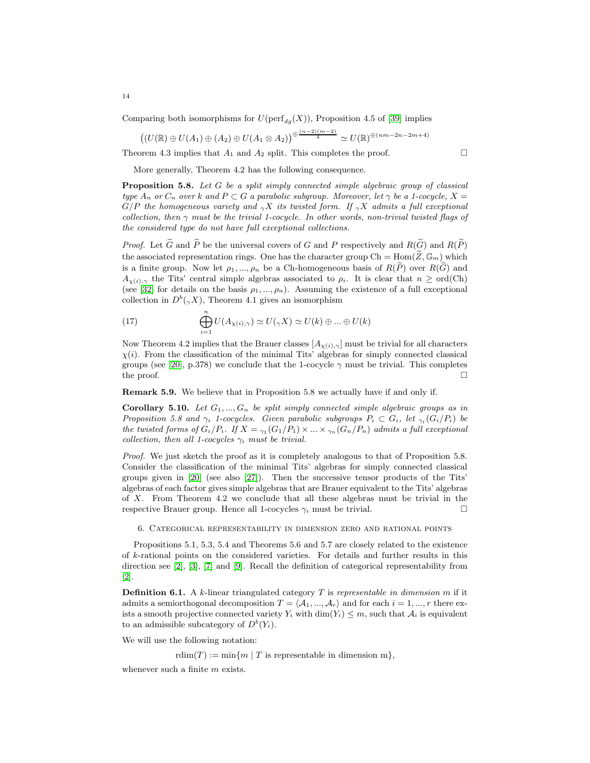Comparing both isomorphisms for  $U(\text{perf}_{d_g}(X))$ , Proposition 4.5 of [\[39\]](#page-20-2) implies

$$
((U(\mathbb{R}) \oplus U(A_1) \oplus (A_2) \oplus U(A_1 \otimes A_2)) \oplus \frac{(n-2)(m-2)}{4} \simeq U(\mathbb{R}) \oplus (nm-2n-2m+4)
$$

Theorem 4.3 implies that  $A_1$  and  $A_2$  split. This completes the proof.

More generally, Theorem 4.2 has the following consequence.

Proposition 5.8. Let G be a split simply connected simple algebraic group of classical type  $A_n$  or  $C_n$  over k and  $P \subset G$  a parabolic subgroup. Moreover, let  $\gamma$  be a 1-cocycle,  $X =$  $G/P$  the homogeneous variety and  $_YX$  its twisted form. If  $_YX$  admits a full exceptional collection, then  $\gamma$  must be the trivial 1-cocycle. In other words, non-trivial twisted flags of the considered type do not have full exceptional collections.

*Proof.* Let  $\tilde{G}$  and  $\tilde{P}$  be the universal covers of G and P respectively and  $R(\tilde{G})$  and  $R(\tilde{P})$ the associated representation rings. One has the character group  $Ch = Hom(\widetilde{Z}, \mathbb{G}_m)$  which is a finite group. Now let  $\rho_1, ..., \rho_n$  be a Ch-homogeneous basis of  $R(\widetilde{P})$  over  $R(\widetilde{G})$  and  $A_{\chi(i),\gamma}$  the Tits' central simple algebras associated to  $\rho_i$ . It is clear that  $n \geq \text{ord}(Ch)$ (see [\[32\]](#page-19-4) for details on the basis  $\rho_1, ..., \rho_n$ ). Assuming the existence of a full exceptional collection in  $D^b(\gamma X)$ , Theorem 4.1 gives an isomorphism

(17) 
$$
\bigoplus_{i=1}^{n} U(A_{\chi(i),\gamma}) \simeq U(\gamma X) \simeq U(k) \oplus ... \oplus U(k)
$$

Now Theorem 4.2 implies that the Brauer classes  $[A_{\chi(i),\gamma}]$  must be trivial for all characters  $\chi(i)$ . From the classification of the minimal Tits' algebras for simply connected classical groups (see [\[20\]](#page-19-10), p.378) we conclude that the 1-cocycle  $\gamma$  must be trivial. This completes the proof.  $\square$ 

Remark 5.9. We believe that in Proposition 5.8 we actually have if and only if.

Corollary 5.10. Let  $G_1, ..., G_n$  be split simply connected simple algebraic groups as in Proposition 5.8 and  $\gamma_i$  1-cocycles. Given parabolic subgroups  $P_i \subset G_i$ , let  $\gamma_i(G_i/P_i)$  be the twisted forms of  $G_i/P_i$ . If  $X = \gamma_1(G_1/P_1) \times ... \times \gamma_n(G_n/P_n)$  admits a full exceptional collection, then all 1-cocycles  $\gamma_i$  must be trivial.

Proof. We just sketch the proof as it is completely analogous to that of Proposition 5.8. Consider the classification of the minimal Tits' algebras for simply connected classical groups given in [\[20\]](#page-19-10) (see also [\[27\]](#page-19-5)). Then the successive tensor products of the Tits' algebras of each factor gives simple algebras that are Brauer equivalent to the Tits' algebras of X. From Theorem 4.2 we conclude that all these algebras must be trivial in the respective Brauer group. Hence all 1-cocycles  $\gamma_i$  must be trivial.

6. Categorical representability in dimension zero and rational points

Propositions 5.1, 5.3, 5.4 and Theorems 5.6 and 5.7 are closely related to the existence of k-rational points on the considered varieties. For details and further results in this direction see [\[2\]](#page-18-2), [\[3\]](#page-18-3), [\[7\]](#page-18-1) and [\[9\]](#page-18-5). Recall the definition of categorical representability from [\[2\]](#page-18-2).

**Definition 6.1.** A k-linear triangulated category  $T$  is representable in dimension  $m$  if it admits a semiorthogonal decomposition  $T = \langle A_1, ..., A_r \rangle$  and for each  $i = 1, ..., r$  there exists a smooth projective connected variety  $Y_i$  with  $\dim(Y_i) \leq m$ , such that  $\mathcal{A}_i$  is equivalent to an admissible subcategory of  $D^b(Y_i)$ .

We will use the following notation:

rdim(T) := min{m | T is representable in dimension m},

whenever such a finite m exists.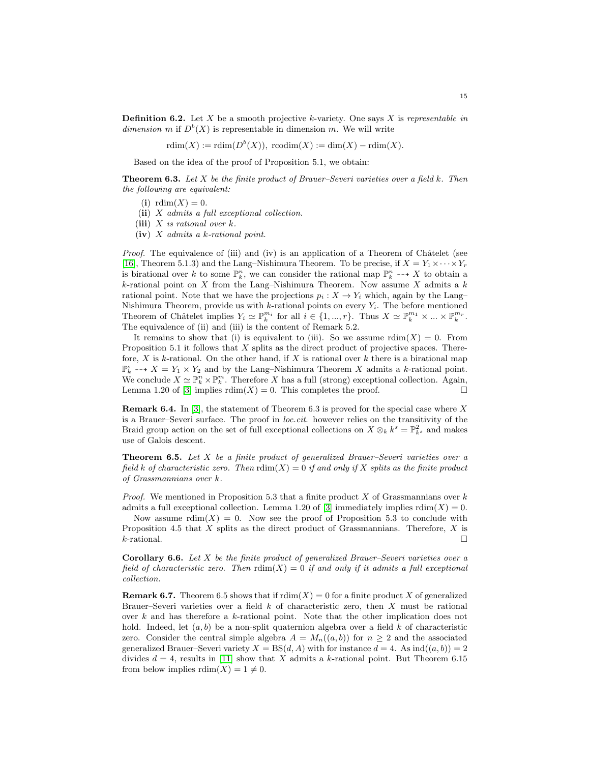**Definition 6.2.** Let X be a smooth projective k-variety. One says X is representable in dimension m if  $D^b(X)$  is representable in dimension m. We will write

 $rdim(X) := rdim(D^b(X)),$   $rcodim(X) := dim(X) - rdim(X).$ 

Based on the idea of the proof of Proposition 5.1, we obtain:

**Theorem 6.3.** Let  $X$  be the finite product of Brauer–Severi varieties over a field  $k$ . Then the following are equivalent:

(i)  $rdim(X) = 0$ .

(ii) X admits a full exceptional collection.

(iii)  $X$  is rational over  $k$ .

 $(iv)$  X admits a k-rational point.

Proof. The equivalence of (iii) and (iv) is an application of a Theorem of Châtelet (see [\[16\]](#page-19-11), Theorem 5.1.3) and the Lang–Nishimura Theorem. To be precise, if  $X = Y_1 \times \cdots \times Y_r$ is birational over k to some  $\mathbb{P}_k^n$ , we can consider the rational map  $\mathbb{P}_k^n \dashrightarrow X$  to obtain a  $k$ -rational point on X from the Lang–Nishimura Theorem. Now assume X admits a k rational point. Note that we have the projections  $p_i : X \to Y_i$  which, again by the Lang– Nishimura Theorem, provide us with  $k$ -rational points on every  $Y_i$ . The before mentioned Theorem of Châtelet implies  $Y_i \simeq \mathbb{P}_k^{m_i}$  for all  $i \in \{1, ..., r\}$ . Thus  $X \simeq \mathbb{P}_k^{m_1} \times ... \times \mathbb{P}_k^{m_r}$ . The equivalence of (ii) and (iii) is the content of Remark 5.2.

It remains to show that (i) is equivalent to (iii). So we assume  $\text{rdim}(X) = 0$ . From Proposition 5.1 it follows that  $X$  splits as the direct product of projective spaces. Therefore, X is k-rational. On the other hand, if X is rational over k there is a birational map  $\mathbb{P}_k^s \dashrightarrow X = Y_1 \times Y_2$  and by the Lang–Nishimura Theorem X admits a k-rational point. We conclude  $X \simeq \mathbb{P}_k^n \times \mathbb{P}_k^m$ . Therefore X has a full (strong) exceptional collection. Again, Lemma 1.20 of [\[3\]](#page-18-3) implies  $\text{rdim}(X) = 0$ . This completes the proof.

**Remark 6.4.** In [\[3\]](#page-18-3), the statement of Theorem 6.3 is proved for the special case where X is a Brauer–Severi surface. The proof in loc.cit. however relies on the transitivity of the Braid group action on the set of full exceptional collections on  $X \otimes_k k^s = \mathbb{P}^2_{k^s}$  and makes use of Galois descent.

**Theorem 6.5.** Let  $X$  be a finite product of generalized Brauer–Severi varieties over a field k of characteristic zero. Then  $\text{rdim}(X) = 0$  if and only if X splits as the finite product of Grassmannians over k.

*Proof.* We mentioned in Proposition 5.3 that a finite product  $X$  of Grassmannians over  $k$ admits a full exceptional collection. Lemma 1.20 of [\[3\]](#page-18-3) immediately implies  $\text{rdim}(X) = 0$ .

Now assume  $\text{rdim}(X) = 0$ . Now see the proof of Proposition 5.3 to conclude with Proposition 4.5 that X splits as the direct product of Grassmannians. Therefore, X is  $k$ -rational.

**Corollary 6.6.** Let  $X$  be the finite product of generalized Brauer–Severi varieties over a field of characteristic zero. Then  $\text{rdim}(X) = 0$  if and only if it admits a full exceptional collection.

**Remark 6.7.** Theorem 6.5 shows that if  $\text{rdim}(X) = 0$  for a finite product X of generalized Brauer–Severi varieties over a field  $k$  of characteristic zero, then  $X$  must be rational over k and has therefore a k-rational point. Note that the other implication does not hold. Indeed, let  $(a, b)$  be a non-split quaternion algebra over a field k of characteristic zero. Consider the central simple algebra  $A = M_n((a, b))$  for  $n \geq 2$  and the associated generalized Brauer–Severi variety  $X = BS(d, A)$  with for instance  $d = 4$ . As  $ind((a, b)) = 2$ divides  $d = 4$ , results in [\[11\]](#page-19-12) show that X admits a k-rational point. But Theorem 6.15 from below implies  $\text{rdim}(X) = 1 \neq 0$ .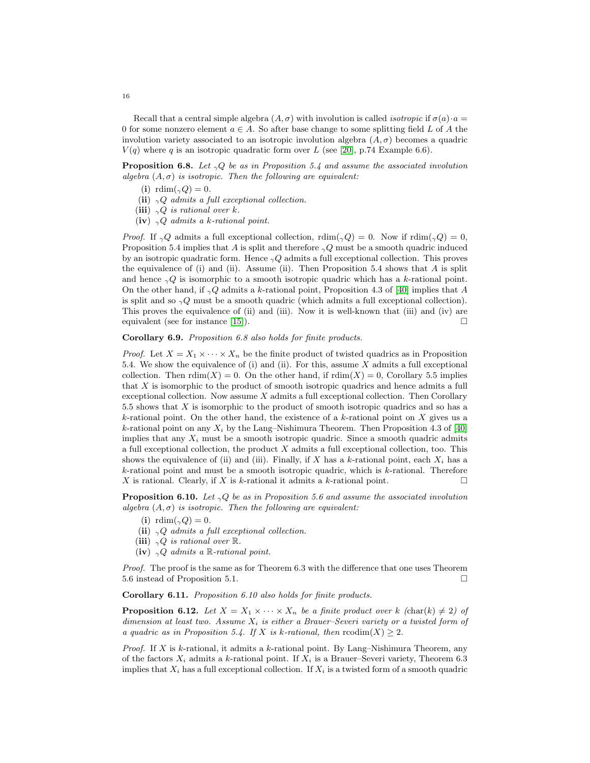Recall that a central simple algebra  $(A, \sigma)$  with involution is called *isotropic* if  $\sigma(a) \cdot a =$ 0 for some nonzero element  $a \in A$ . So after base change to some splitting field L of A the involution variety associated to an isotropic involution algebra  $(A, \sigma)$  becomes a quadric  $V(q)$  where q is an isotropic quadratic form over L (see [\[20\]](#page-19-10), p.74 Example 6.6).

**Proposition 6.8.** Let  $_{\gamma}Q$  be as in Proposition 5.4 and assume the associated involution algebra  $(A, \sigma)$  is isotropic. Then the following are equivalent:

- (i) rdim $({}_\gamma Q) = 0$ .
- (ii)  $\gamma Q$  admits a full exceptional collection.
- (iii)  $\gamma Q$  is rational over k.
- (iv)  $\gamma Q$  admits a k-rational point.

*Proof.* If  $_{\gamma}Q$  admits a full exceptional collection, rdim( $_{\gamma}Q$ ) = 0. Now if rdim( $_{\gamma}Q$ ) = 0, Proposition 5.4 implies that A is split and therefore  $\gamma Q$  must be a smooth quadric induced by an isotropic quadratic form. Hence  $\gamma Q$  admits a full exceptional collection. This proves the equivalence of (i) and (ii). Assume (ii). Then Proposition 5.4 shows that  $A$  is split and hence  $_{\gamma}Q$  is isomorphic to a smooth isotropic quadric which has a k-rational point. On the other hand, if  $_{\gamma}Q$  admits a k-rational point, Proposition 4.3 of [\[40\]](#page-20-0) implies that A is split and so  $\gamma Q$  must be a smooth quadric (which admits a full exceptional collection). This proves the equivalence of (ii) and (iii). Now it is well-known that (iii) and (iv) are equivalent (see for instance [\[15\]](#page-19-6)).  $\square$ 

# Corollary 6.9. Proposition 6.8 also holds for finite products.

*Proof.* Let  $X = X_1 \times \cdots \times X_n$  be the finite product of twisted quadrics as in Proposition 5.4. We show the equivalence of (i) and (ii). For this, assume  $X$  admits a full exceptional collection. Then  $\text{rdim}(X) = 0$ . On the other hand, if  $\text{rdim}(X) = 0$ , Corollary 5.5 implies that X is isomorphic to the product of smooth isotropic quadrics and hence admits a full exceptional collection. Now assume  $X$  admits a full exceptional collection. Then Corollary 5.5 shows that X is isomorphic to the product of smooth isotropic quadrics and so has a k-rational point. On the other hand, the existence of a k-rational point on  $X$  gives us a k-rational point on any  $X_i$  by the Lang–Nishimura Theorem. Then Proposition 4.3 of [\[40\]](#page-20-0) implies that any  $X_i$  must be a smooth isotropic quadric. Since a smooth quadric admits a full exceptional collection, the product X admits a full exceptional collection, too. This shows the equivalence of (ii) and (iii). Finally, if X has a k-rational point, each  $X_i$  has a  $k$ -rational point and must be a smooth isotropic quadric, which is  $k$ -rational. Therefore  $X$  is rational. Clearly, if  $X$  is  $k$ -rational it admits a  $k$ -rational point.

**Proposition 6.10.** Let  $_{\gamma}Q$  be as in Proposition 5.6 and assume the associated involution algebra  $(A, \sigma)$  is isotropic. Then the following are equivalent:

- (i) rdim( $_{\gamma}Q$ ) = 0.
- (ii)  $_{\gamma}Q$  admits a full exceptional collection.
- (iii)  $_{\gamma}Q$  is rational over  $\mathbb{R}$ .
- (iv)  $\gamma Q$  admits a R-rational point.

Proof. The proof is the same as for Theorem 6.3 with the difference that one uses Theorem 5.6 instead of Proposition 5.1.

Corollary 6.11. Proposition 6.10 also holds for finite products.

**Proposition 6.12.** Let  $X = X_1 \times \cdots \times X_n$  be a finite product over k (char(k)  $\neq 2$ ) of dimension at least two. Assume  $X_i$  is either a Brauer–Severi variety or a twisted form of a quadric as in Proposition 5.4. If X is k-rational, then  $\text{codim}(X) \geq 2$ .

*Proof.* If X is k-rational, it admits a k-rational point. By Lang–Nishimura Theorem, any of the factors  $X_i$  admits a k-rational point. If  $X_i$  is a Brauer–Severi variety, Theorem 6.3 implies that  $X_i$  has a full exceptional collection. If  $X_i$  is a twisted form of a smooth quadric

16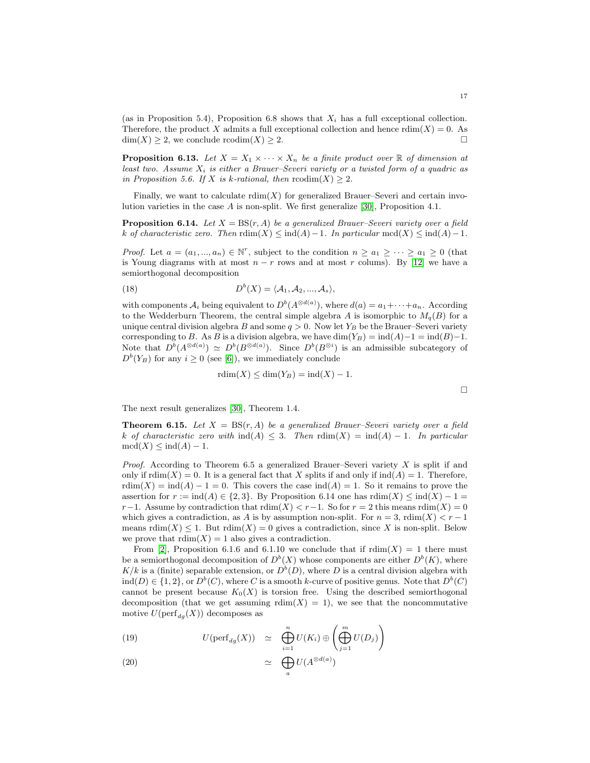(as in Proposition 5.4), Proposition 6.8 shows that  $X_i$  has a full exceptional collection. Therefore, the product X admits a full exceptional collection and hence  $\text{rdim}(X) = 0$ . As  $\dim(X) \geq 2$ , we conclude rcodim $(X) \geq 2$ .

**Proposition 6.13.** Let  $X = X_1 \times \cdots \times X_n$  be a finite product over  $\mathbb R$  of dimension at least two. Assume  $X_i$  is either a Brauer–Severi variety or a twisted form of a quadric as in Proposition 5.6. If X is k-rational, then  $\text{rcodim}(X) \geq 2$ .

Finally, we want to calculate  $\text{rdim}(X)$  for generalized Brauer–Severi and certain involution varieties in the case A is non-split. We first generalize [\[30\]](#page-19-9), Proposition 4.1.

**Proposition 6.14.** Let  $X = BS(r, A)$  be a generalized Brauer–Severi variety over a field k of characteristic zero. Then  $\text{rdim}(X) \leq \text{ind}(A)-1$ . In particular  $\text{mod}(X) \leq \text{ind}(A)-1$ .

*Proof.* Let  $a = (a_1, ..., a_n) \in \mathbb{N}^r$ , subject to the condition  $n \ge a_1 \ge ... \ge a_1 \ge 0$  (that is Young diagrams with at most  $n - r$  rows and at most r colums). By [\[12\]](#page-19-24) we have a semiorthogonal decomposition

(18) 
$$
D^{b}(X) = \langle A_1, A_2, ..., A_s \rangle,
$$

with components  $A_i$  being equivalent to  $D^b(A^{\otimes d(a)})$ , where  $d(a) = a_1 + \cdots + a_n$ . According to the Wedderburn Theorem, the central simple algebra A is isomorphic to  $M_q(B)$  for a unique central division algebra B and some  $q > 0$ . Now let  $Y_B$  be the Brauer–Severi variety corresponding to B. As B is a division algebra, we have dim(Y<sub>B</sub>) = ind(A)-1 = ind(B)-1. Note that  $D^b(A^{\otimes d(a)}) \simeq D^b(B^{\otimes d(a)})$ . Since  $D^b(B^{\otimes i})$  is an admissible subcategory of  $D^{b}(Y_B)$  for any  $i \geq 0$  (see [\[6\]](#page-18-8)), we immediately conclude

$$
rdim(X) \le dim(Y_B) = ind(X) - 1.
$$

 $\Box$ 

The next result generalizes [\[30\]](#page-19-9), Theorem 1.4.

**Theorem 6.15.** Let  $X = BS(r, A)$  be a generalized Brauer–Severi variety over a field k of characteristic zero with  $\text{ind}(A) \leq 3$ . Then  $\text{rdim}(X) = \text{ind}(A) - 1$ . In particular  $\mathrm{mcd}(X) \leq \mathrm{ind}(A) - 1.$ 

*Proof.* According to Theorem 6.5 a generalized Brauer–Severi variety  $X$  is split if and only if  $\text{rdim}(X) = 0$ . It is a general fact that X splits if and only if  $\text{ind}(A) = 1$ . Therefore,  $rdim(X) = ind(A) - 1 = 0$ . This covers the case  $ind(A) = 1$ . So it remains to prove the assertion for  $r := \text{ind}(A) \in \{2, 3\}$ . By Proposition 6.14 one has  $\text{rdim}(X) \leq \text{ind}(X) - 1 =$ r−1. Assume by contradiction that  $\text{rdim}(X) < r-1$ . So for  $r = 2$  this means  $\text{rdim}(X) = 0$ which gives a contradiction, as A is by assumption non-split. For  $n = 3$ ,  $\text{rdim}(X) < r - 1$ means  $\text{rdim}(X) \leq 1$ . But  $\text{rdim}(X) = 0$  gives a contradiction, since X is non-split. Below we prove that  $\text{rdim}(X) = 1$  also gives a contradiction.

From [\[2\]](#page-18-2), Proposition 6.1.6 and 6.1.10 we conclude that if  $\text{rdim}(X) = 1$  there must be a semiorthogonal decomposition of  $D^b(X)$  whose components are either  $D^b(K)$ , where  $K/k$  is a (finite) separable extension, or  $D^{b}(D)$ , where D is a central division algebra with ind(D)  $\in \{1,2\}$ , or  $D^b(C)$ , where C is a smooth k-curve of positive genus. Note that  $D^b(C)$ cannot be present because  $K_0(X)$  is torsion free. Using the described semiorthogonal decomposition (that we get assuming  $\text{rdim}(X) = 1$ ), we see that the noncommutative motive  $U(\text{perf}_{dq}(X))$  decomposes as

(19) 
$$
U(\text{perf}_{dg}(X)) \simeq \bigoplus_{i=1}^{n} U(K_i) \oplus \left( \bigoplus_{j=1}^{m} U(D_j) \right)
$$

(20) 
$$
\simeq \bigoplus_{a} U(A^{\otimes d(a)})
$$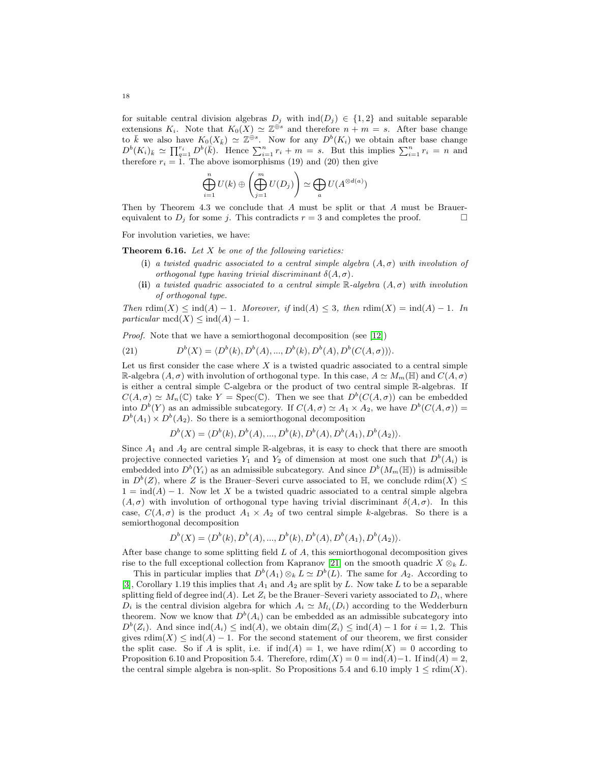for suitable central division algebras  $D_i$  with  $\text{ind}(D_i) \in \{1,2\}$  and suitable separable extensions  $K_i$ . Note that  $K_0(X) \simeq \mathbb{Z}^{\widehat{\oplus s}}$  and therefore  $n + m = s$ . After base change to  $\overline{k}$  we also have  $K_0(X_{\overline{k}}) \simeq \mathbb{Z}^{\oplus s}$ . Now for any  $D^b(K_i)$  we obtain after base change  $D^{b}(K_{i})_{\bar{k}} \simeq \prod_{q=1}^{r_{i}} D^{b}(\bar{k})$ . Hence  $\sum_{i=1}^{n} r_{i} + m = s$ . But this implies  $\sum_{i=1}^{n} r_{i} = n$  and therefore  $r_i = 1$ . The above isomorphisms (19) and (20) then give

$$
\bigoplus_{i=1}^n U(k) \oplus \left( \bigoplus_{j=1}^m U(D_j) \right) \simeq \bigoplus_a U(A^{\otimes d(a)})
$$

Then by Theorem 4.3 we conclude that A must be split or that A must be Brauerequivalent to  $D_j$  for some j. This contradicts  $r = 3$  and completes the proof.

For involution varieties, we have:

**Theorem 6.16.** Let  $X$  be one of the following varieties:

- (i) a twisted quadric associated to a central simple algebra  $(A, \sigma)$  with involution of orthogonal type having trivial discriminant  $\delta(A, \sigma)$ .
- (ii) a twisted quadric associated to a central simple  $\mathbb{R}$ -algebra  $(A, \sigma)$  with involution of orthogonal type.

Then  $\text{rdim}(X) \leq \text{ind}(A) - 1$ . Moreover, if  $\text{ind}(A) \leq 3$ , then  $\text{rdim}(X) = \text{ind}(A) - 1$ . In particular  $mcd(X) \leq ind(A) - 1$ .

Proof. Note that we have a semiorthogonal decomposition (see [\[12\]](#page-19-24))

(21) 
$$
D^{b}(X) = \langle D^{b}(k), D^{b}(A), ..., D^{b}(k), D^{b}(A), D^{b}(C(A, \sigma)) \rangle.
$$

Let us first consider the case where  $X$  is a twisted quadric associated to a central simple R-algebra  $(A, \sigma)$  with involution of orthogonal type. In this case,  $A \simeq M_m(\mathbb{H})$  and  $C(A, \sigma)$ is either a central simple C-algebra or the product of two central simple R-algebras. If  $C(A,\sigma) \simeq M_n(\mathbb{C})$  take  $Y = \text{Spec}(\mathbb{C})$ . Then we see that  $D^b(C(A,\sigma))$  can be embedded into  $D^b(Y)$  as an admissible subcategory. If  $C(A, \sigma) \simeq A_1 \times A_2$ , we have  $D^b(C(A, \sigma)) =$  $D^{b}(A_1) \times D^{b}(A_2)$ . So there is a semiorthogonal decomposition

$$
D^{b}(X) = \langle D^{b}(k), D^{b}(A), ..., D^{b}(k), D^{b}(A), D^{b}(A_{1}), D^{b}(A_{2})\rangle.
$$

Since  $A_1$  and  $A_2$  are central simple R-algebras, it is easy to check that there are smooth projective connected varieties  $Y_1$  and  $Y_2$  of dimension at most one such that  $D^b(A_i)$  is embedded into  $D^b(Y_i)$  as an admissible subcategory. And since  $D^b(M_m(\mathbb{H}))$  is admissible in  $D^b(Z)$ , where Z is the Brauer–Severi curve associated to  $\mathbb{H}$ , we conclude  $\text{rdim}(X) \leq$  $1 = \text{ind}(A) - 1$ . Now let X be a twisted quadric associated to a central simple algebra  $(A, \sigma)$  with involution of orthogonal type having trivial discriminant  $\delta(A, \sigma)$ . In this case,  $C(A, \sigma)$  is the product  $A_1 \times A_2$  of two central simple k-algebras. So there is a semiorthogonal decomposition

$$
D^{b}(X) = \langle D^{b}(k), D^{b}(A), ..., D^{b}(k), D^{b}(A), D^{b}(A_{1}), D^{b}(A_{2})\rangle.
$$

After base change to some splitting field  $L$  of  $A$ , this semiorthogonal decomposition gives rise to the full exceptional collection from Kapranov [\[21\]](#page-19-25) on the smooth quadric  $X \otimes_k L$ .

This in particular implies that  $D^b(A_1) \otimes_k L \simeq D^b(L)$ . The same for  $A_2$ . According to [\[3\]](#page-18-3), Corollary 1.19 this implies that  $A_1$  and  $A_2$  are split by L. Now take L to be a separable splitting field of degree ind(A). Let  $Z_i$  be the Brauer–Severi variety associated to  $D_i$ , where  $D_i$  is the central division algebra for which  $A_i \simeq M_{l_i}(D_i)$  according to the Wedderburn theorem. Now we know that  $D^b(A_i)$  can be embedded as an admissible subcategory into  $D^{b}(Z_i)$ . And since  $\text{ind}(A_i) \leq \text{ind}(A)$ , we obtain  $\dim(Z_i) \leq \text{ind}(A) - 1$  for  $i = 1, 2$ . This gives  $\text{rdim}(X) \leq \text{ind}(A) - 1$ . For the second statement of our theorem, we first consider the split case. So if A is split, i.e. if  $\text{ind}(A) = 1$ , we have  $\text{rdim}(X) = 0$  according to Proposition 6.10 and Proposition 5.4. Therefore,  $\text{rdim}(X) = 0 = \text{ind}(A) - 1$ . If  $\text{ind}(A) = 2$ , the central simple algebra is non-split. So Propositions 5.4 and 6.10 imply  $1 \leq \text{rdim}(X)$ .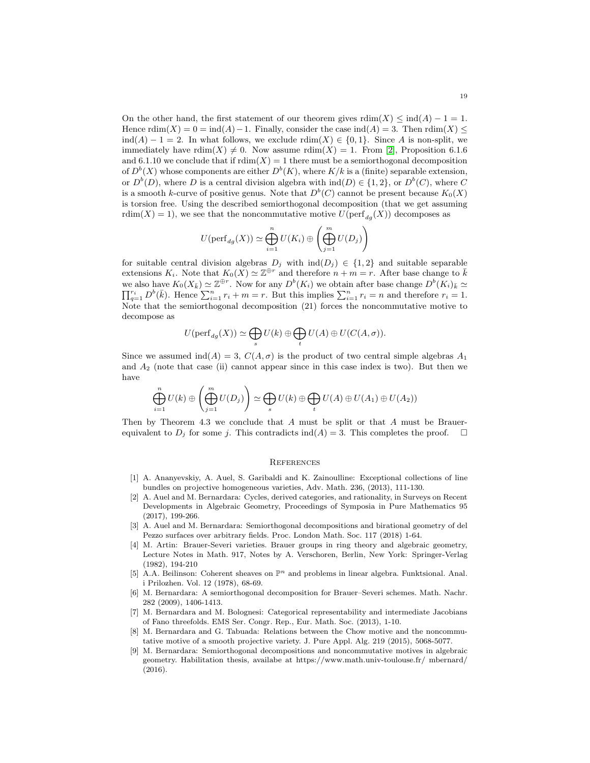On the other hand, the first statement of our theorem gives  $\text{rdim}(X) \leq \text{ind}(A) - 1 = 1$ . Hence  $\text{rdim}(X) = 0 = \text{ind}(A) - 1$ . Finally, consider the case  $\text{ind}(A) = 3$ . Then  $\text{rdim}(X) \le$  $\text{ind}(A) - 1 = 2$ . In what follows, we exclude  $\text{rdim}(X) \in \{0, 1\}$ . Since A is non-split, we immediately have  $\text{rdim}(X) \neq 0$ . Now assume  $\text{rdim}(X) = 1$ . From [\[2\]](#page-18-2), Proposition 6.1.6 and 6.1.10 we conclude that if  $\text{rdim}(X) = 1$  there must be a semiorthogonal decomposition of  $D^b(X)$  whose components are either  $D^b(K)$ , where  $K/k$  is a (finite) separable extension, or  $D^b(D)$ , where D is a central division algebra with  $\text{ind}(D) \in \{1, 2\}$ , or  $D^b(C)$ , where C is a smooth k-curve of positive genus. Note that  $D^b(C)$  cannot be present because  $K_0(X)$ is torsion free. Using the described semiorthogonal decomposition (that we get assuming rdim(X) = 1), we see that the noncommutative motive  $U(\text{perf}_{dq}(X))$  decomposes as

$$
U(\mathrm{perf}_{dg}(X)) \simeq \bigoplus_{i=1}^{n} U(K_i) \oplus \left( \bigoplus_{j=1}^{m} U(D_j) \right)
$$

for suitable central division algebras  $D_j$  with  $\text{ind}(D_j) \in \{1,2\}$  and suitable separable extensions  $K_i$ . Note that  $K_0(X) \simeq \mathbb{Z}^{\oplus r}$  and therefore  $n + m = r$ . After base change to  $\bar{k}$ we also have  $K_0(X_{\bar{k}}) \simeq \mathbb{Z}^{\oplus r}$ . Now for any  $D^b(K_i)$  we obtain after base change  $D^b(K_i)_{\bar{k}} \simeq \prod_{i=1}^{r_i} D^b(\bar{k})$ . Hence  $\sum_{i=1}^{n} r_i + m = r$ . But this implies  $\sum_{i=1}^{n} r_i = n$  and therefore  $r_i = 1$ .  $_{q=1}^{r_i} D^b(\bar{k})$ . Hence  $\sum_{i=1}^n r_i + m = r$ . But this implies  $\sum_{i=1}^n r_i = n$  and therefore  $r_i = 1$ . Note that the semiorthogonal decomposition (21) forces the noncommutative motive to decompose as

$$
U(\mathrm{perf}_{dg}(X)) \simeq \bigoplus_s U(k) \oplus \bigoplus_t U(A) \oplus U(C(A, \sigma)).
$$

Since we assumed  $\text{ind}(A) = 3$ ,  $C(A, \sigma)$  is the product of two central simple algebras  $A_1$ and  $A_2$  (note that case (ii) cannot appear since in this case index is two). But then we have

$$
\bigoplus_{i=1}^{n} U(k) \oplus \left( \bigoplus_{j=1}^{m} U(D_j) \right) \simeq \bigoplus_{s} U(k) \oplus \bigoplus_{t} U(A) \oplus U(A_1) \oplus U(A_2))
$$

Then by Theorem 4.3 we conclude that A must be split or that A must be Brauerequivalent to  $D_j$  for some j. This contradicts ind(A) = 3. This completes the proof.  $\Box$ 

## **REFERENCES**

- <span id="page-18-0"></span>[1] A. Ananyevskiy, A. Auel, S. Garibaldi and K. Zainoulline: Exceptional collections of line bundles on projective homogeneous varieties, Adv. Math. 236, (2013), 111-130.
- <span id="page-18-2"></span>[2] A. Auel and M. Bernardara: Cycles, derived categories, and rationality, in Surveys on Recent Developments in Algebraic Geometry, Proceedings of Symposia in Pure Mathematics 95 (2017), 199-266.
- <span id="page-18-3"></span>[3] A. Auel and M. Bernardara: Semiorthogonal decompositions and birational geometry of del Pezzo surfaces over arbitrary fields. Proc. London Math. Soc. 117 (2018) 1-64.
- <span id="page-18-6"></span>[4] M. Artin: Brauer-Severi varieties. Brauer groups in ring theory and algebraic geometry, Lecture Notes in Math. 917, Notes by A. Verschoren, Berlin, New York: Springer-Verlag (1982), 194-210
- <span id="page-18-7"></span>[5] A.A. Beilinson: Coherent sheaves on  $\mathbb{P}^n$  and problems in linear algebra. Funktsional. Anal. i Prilozhen. Vol. 12 (1978), 68-69.
- <span id="page-18-8"></span>[6] M. Bernardara: A semiorthogonal decomposition for Brauer–Severi schemes. Math. Nachr. 282 (2009), 1406-1413.
- <span id="page-18-1"></span>[7] M. Bernardara and M. Bolognesi: Categorical representability and intermediate Jacobians of Fano threefolds. EMS Ser. Congr. Rep., Eur. Math. Soc. (2013), 1-10.
- <span id="page-18-4"></span>[8] M. Bernardara and G. Tabuada: Relations between the Chow motive and the noncommutative motive of a smooth projective variety. J. Pure Appl. Alg. 219 (2015), 5068-5077.
- <span id="page-18-5"></span>[9] M. Bernardara: Semiorthogonal decompositions and noncommutative motives in algebraic geometry. Habilitation thesis, availabe at https://www.math.univ-toulouse.fr/ mbernard/ (2016).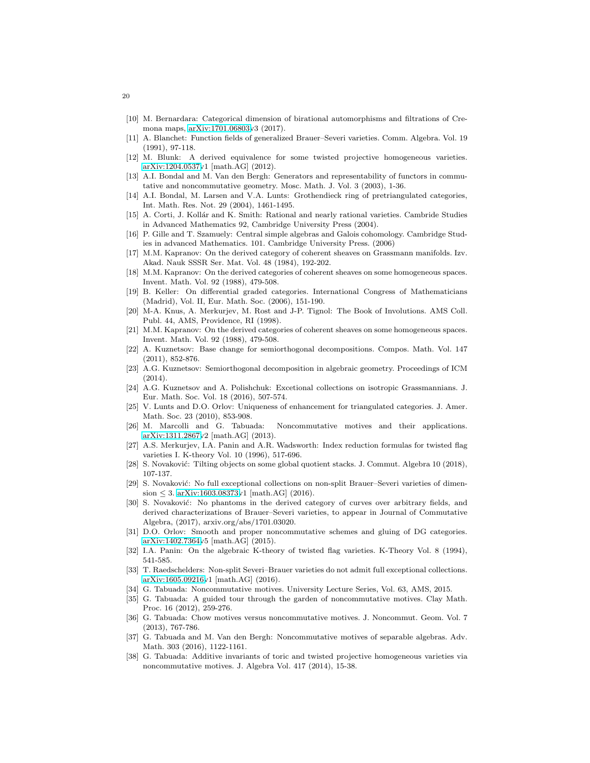- <span id="page-19-12"></span><span id="page-19-7"></span>[10] M. Bernardara: Categorical dimension of birational automorphisms and filtrations of Cremona maps, [arXiv:1701.06803v](http://arxiv.org/abs/1701.06803)3 (2017).
- <span id="page-19-24"></span>[11] A. Blanchet: Function fields of generalized Brauer–Severi varieties. Comm. Algebra. Vol. 19 (1991), 97-118.
- [12] M. Blunk: A derived equivalence for some twisted projective homogeneous varieties. [arXiv:1204.0537v](http://arxiv.org/abs/1204.0537)1 [math.AG] (2012).
- [13] A.I. Bondal and M. Van den Bergh: Generators and representability of functors in commutative and noncommutative geometry. Mosc. Math. J. Vol. 3 (2003), 1-36.
- <span id="page-19-8"></span>[14] A.I. Bondal, M. Larsen and V.A. Lunts: Grothendieck ring of pretriangulated categories, Int. Math. Res. Not. 29 (2004), 1461-1495.
- <span id="page-19-6"></span>[15] A. Corti, J. Kollár and K. Smith: Rational and nearly rational varieties. Cambride Studies in Advanced Mathematics 92, Cambridge University Press (2004).
- <span id="page-19-11"></span>[16] P. Gille and T. Szamuely: Central simple algebras and Galois cohomology. Cambridge Studies in advanced Mathematics. 101. Cambridge University Press. (2006)
- <span id="page-19-23"></span>[17] M.M. Kapranov: On the derived category of coherent sheaves on Grassmann manifolds. Izv. Akad. Nauk SSSR Ser. Mat. Vol. 48 (1984), 192-202.
- [18] M.M. Kapranov: On the derived categories of coherent sheaves on some homogeneous spaces. Invent. Math. Vol. 92 (1988), 479-508.
- <span id="page-19-18"></span>[19] B. Keller: On differential graded categories. International Congress of Mathematicians (Madrid), Vol. II, Eur. Math. Soc. (2006), 151-190.
- <span id="page-19-10"></span>[20] M-A. Knus, A. Merkurjev, M. Rost and J-P. Tignol: The Book of Involutions. AMS Coll. Publ. 44, AMS, Providence, RI (1998).
- <span id="page-19-25"></span>[21] M.M. Kapranov: On the derived categories of coherent sheaves on some homogeneous spaces. Invent. Math. Vol. 92 (1988), 479-508.
- <span id="page-19-22"></span>[22] A. Kuznetsov: Base change for semiorthogonal decompositions. Compos. Math. Vol. 147 (2011), 852-876.
- <span id="page-19-14"></span>[23] A.G. Kuznetsov: Semiorthogonal decomposition in algebraic geometry. Proceedings of ICM (2014).
- <span id="page-19-0"></span>[24] A.G. Kuznetsov and A. Polishchuk: Excetional collections on isotropic Grassmannians. J. Eur. Math. Soc. Vol. 18 (2016), 507-574.
- <span id="page-19-19"></span>[25] V. Lunts and D.O. Orlov: Uniqueness of enhancement for triangulated categories. J. Amer. Math. Soc. 23 (2010), 853-908.<br>[26] M. Marcolli and G. Tabuada:
- <span id="page-19-17"></span>Noncommutative motives and their applications. [arXiv:1311.2867v](http://arxiv.org/abs/1311.2867)2 [math.AG] (2013).
- <span id="page-19-5"></span>[27] A.S. Merkurjev, I.A. Panin and A.R. Wadsworth: Index reduction formulas for twisted flag varieties I. K-theory Vol. 10 (1996), 517-696.
- <span id="page-19-2"></span>[28] S. Novaković: Tilting objects on some global quotient stacks. J. Commut. Algebra 10 (2018), 107-137.
- [29] S. Novaković: No full exceptional collections on non-split Brauer–Severi varieties of dimension  $\leq 3$ . [arXiv:1603.08373v](http://arxiv.org/abs/1603.08373)1 [math.AG] (2016).
- <span id="page-19-9"></span>[30] S. Novaković: No phantoms in the derived category of curves over arbitrary fields, and derived characterizations of Brauer–Severi varieties, to appear in Journal of Commutative Algebra, (2017), arxiv.org/abs/1701.03020.
- <span id="page-19-13"></span>[31] D.O. Orlov: Smooth and proper noncommutative schemes and gluing of DG categories. [arXiv:1402.7364v](http://arxiv.org/abs/1402.7364)5 [math.AG] (2015).
- <span id="page-19-4"></span><span id="page-19-1"></span>[32] I.A. Panin: On the algebraic K-theory of twisted flag varieties. K-Theory Vol. 8 (1994), 541-585.
- [33] T. Raedschelders: Non-split Severi–Brauer varieties do not admit full exceptional collections. [arXiv:1605.09216v](http://arxiv.org/abs/1605.09216)1 [math.AG] (2016).
- <span id="page-19-16"></span><span id="page-19-15"></span>[34] G. Tabuada: Noncommutative motives. University Lecture Series, Vol. 63, AMS, 2015.
- [35] G. Tabuada: A guided tour through the garden of noncommutative motives. Clay Math. Proc. 16 (2012), 259-276.
- <span id="page-19-21"></span>[36] G. Tabuada: Chow motives versus noncommutative motives. J. Noncommut. Geom. Vol. 7 (2013), 767-786.
- <span id="page-19-3"></span>[37] G. Tabuada and M. Van den Bergh: Noncommutative motives of separable algebras. Adv. Math. 303 (2016), 1122-1161.
- <span id="page-19-20"></span>[38] G. Tabuada: Additive invariants of toric and twisted projective homogeneous varieties via noncommutative motives. J. Algebra Vol. 417 (2014), 15-38.